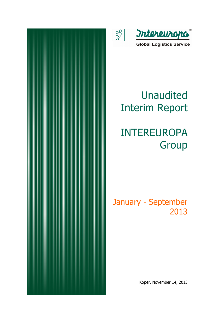

 $\overline{\mathbb{R}}$ 

**Global Logistics Service** 

# Unaudited Interim Report

# INTEREUROPA Group

## January - September 2013

Koper, November 14, 2013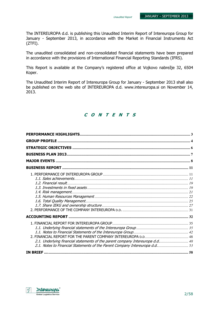The INTEREUROPA d.d. is publishing this Unaudited Interim Report of Intereuropa Group for January - September 2013, in accordance with the Market in Financial Instruments Act (ZTFI).

The unaudited consolidated and non-consolidated financial statements have been prepared in accordance with the provisions of International Financial Reporting Standards (IFRS).

This Report is available at the Company's registered office at Vojkovo nabrežje 32, 6504 Koper.

The Unaudited Interim Report of Intereuropa Group for January - September 2013 shall also be published on the web site of INTEREUROPA d.d. www.intereuropa.si on November 14, 2013.

### C O N T E N T S

| 2.1. Underlying financial statements of the parent company Intereuropa d.d 48 |  |
|-------------------------------------------------------------------------------|--|
|                                                                               |  |

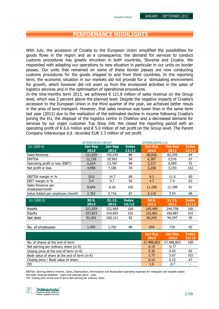### PERFORMANCE HIGHLIGHTS

With July, the accession of Croatia to the European Union simplified the possibilities for goods flows in the region and as a consequence, the demand for services to conduct customs procedures has greatly shrunken in both countries, Slovenia and Croatia. We responded with adapting our operations to new situation in particular in our units on border passes. Our units that remained on some of these border passes are now conducting customs procedures for the goods shipped to and from third countries. In the reporting term, the economic situation in our markets did not provide for a stimulating environment for growth, which however did not avert us from the envisioned activities in the sales of logistics services and in the optimisation of operational procedures.

In the nine-months term 2013, we achieved  $\epsilon$  121.8 million of sales revenue on the Group level, which was 2 percent above the planned level. Despite the negative impacts of Croatia's accession to the European Union in the third quarter of the year, we achieved better resuls in the area of land transport. However, that sales revenue was lower than in the same term last year (2012) due to the realisation of the estimated decline in income following Croatia's joining the EU, the disposal of the logistics centre in Chekhov and a decreased demand for services by our major customer Top Shop Intl. We closed the reporting period with an operating profit of  $\epsilon$  6.6 million and  $\epsilon$  5.0 million of net profit on the Group level. The Parent Company Intereuropa d.d. recorded EUR 3.3 million of net profit.

|                                                 | <b>INTEREUROPA GROUP</b> |                |              | <b>INTEREUROPA D.D.</b> |                |                       |
|-------------------------------------------------|--------------------------|----------------|--------------|-------------------------|----------------|-----------------------|
| (in 1000 $\epsilon$ )                           | Jan-Sep                  | <b>Jan-Sep</b> | <b>Index</b> | <b>Jan-Sep</b>          | <b>Jan-Sep</b> | <b>Index</b>          |
|                                                 | 2013                     | 2012           | 13/12        | 2013                    | 2012           | 13/12                 |
| Sales Revenue                                   | 121,835                  | 142,242        | 86           | 68,836                  | 82,295         | 84                    |
| <b>EBITDA</b>                                   | 12,159                   | 20,903         | 58           | 6,387                   | 9,576          | 67                    |
| Operating profit or loss (EBIT)                 | 6,624                    | 13,787         | 48           | 3,227                   | 6,099          | 53                    |
| Net profit or loss                              | 4,996                    | 7,180          | 70           | 3,258                   | 3,193          | 102                   |
|                                                 |                          |                |              |                         |                |                       |
| EBITDA margin in %                              | 10.0                     | 14.7           | 68           | 9.3                     | 11.6           | 80                    |
| EBIT margin in %                                | 5.4                      | 9.7            | 56           | 4.7                     | 7.4            | 63                    |
| Sales Revenue per                               | 8.644                    | 8.26           | 105          | 11.290                  | 12.398         | 91                    |
| employee/month                                  |                          |                |              |                         |                |                       |
| Value Added per employee /month                 | 2.352                    | 2.716          | 87           | 3.119                   | 3.54           | 88                    |
| (in 1000 $\epsilon$ )                           | 30.9.                    | 31.12.         | <b>Index</b> | 30.9.                   | 31.12.         | <b>Index</b>          |
|                                                 | 2013                     | 2012           | 13/12        | 2013                    | 2012           | 13/12                 |
| Assets                                          | 321,629                  | 322,969        | 100          | 245,469                 | 244,758        | 100                   |
| Equity                                          | 157,823                  | 154,893        | 102          | 102,881                 | 100,887        | 102                   |
| Net debt                                        | 92,401                   | 100,121        | 92           | 89,245                  | 94,397         | 95                    |
|                                                 |                          |                |              |                         |                |                       |
| No. of employees                                | 1,495                    | 1,702          | 88           | 659                     | 720            | 92                    |
|                                                 |                          |                |              |                         | <b>Jan-Dec</b> |                       |
|                                                 |                          |                |              | <b>Jan-Sep</b><br>2013  | 2012           | <b>Index</b><br>13/12 |
| No. of shares at the end of term                | 27,488,803               | 27,488,803     | 100          |                         |                |                       |
| Net earning per ordinary share (in $\epsilon$ ) |                          |                |              | 0.19                    | $-0.77$        |                       |

Closing price at the end of term (in  $\epsilon$ ) 0.36 0.55 65 Book value of share at the end of term  $(in \in)$  3.75 3.67 102 Closing price / Book value of share 0.15 67 P/E 1.9 -0.7 -

EBITDA: Earnings Before Interest, Taxes, Depreciation, Amortisation and Revaluation operating expenses for intangible and tangible assets Net debt: financial liabilities – loans and deposits given - cash

P/E: Closing price at the end of term/ Net earning per ordinary share

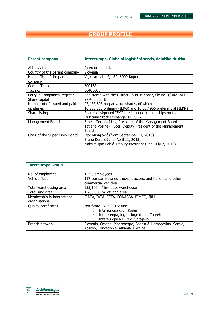### GROUP PROFILE

| <b>Parent company</b>          | Intereuropa, Globalni logistični servis, delniška družba         |
|--------------------------------|------------------------------------------------------------------|
| Abbreviated name               | Intereuropa d.d.                                                 |
| Country of the parent company  | Slovenia                                                         |
| Head office of the parent      | Vojkovo nabrežje 32, 6000 Koper                                  |
| company                        |                                                                  |
| Comp. ID no.                   | 5001684                                                          |
| Tax no.                        | 56405006                                                         |
| Entry in Companies Register    | Registered with the District Court in Koper, file no. 1/00212/00 |
| Share capital                  | 27,488,803 €                                                     |
| Number of of issued and paid-  | 27,488,803 no-par value shares, of which                         |
| up shares                      | 16,830,838 ordinary (IEKG) and 10,657,965 preferencial (IEKN)    |
| Share listing                  | Shares designated IEKG are included in blue chips on the         |
|                                | Ljubljana Stock Exchange, CEESEG.                                |
| Management Board               | Ernest Gortan, Msc., President of the Management Board           |
|                                | Tatjana Vošinek Pucer, Deputy President of the Management        |
|                                | Board                                                            |
| Chair of the Supervisory Board | Igor Mihajlović (from September 11, 2013)                        |
|                                | Bruno Korelič (until April 11, 2013)                             |
|                                | Maksimilijan Babič, Deputy President (until July 7, 2013)        |

| <b>Intereuropa Group</b>                     |                                                                                                     |
|----------------------------------------------|-----------------------------------------------------------------------------------------------------|
| No. of employees                             | 1,495 employees                                                                                     |
| Vehicle fleet                                | 117 company-owned trucks, tractors, and trailers and other<br>commercial vehicles                   |
| Total warehousing area                       | 235,100 $m^2$ in-house warehouse                                                                    |
| Total land area                              | $1,703,000$ m <sup>2</sup> of land area                                                             |
| Membership in international<br>organisations | FIATA, IATA, FETA, FONASBA, BIMCO, IRU                                                              |
| Quality certificates                         | certificate ISO 9001:2008:                                                                          |
|                                              | Intereuropa d.d., Koper<br>$\Omega$                                                                 |
|                                              | Intereuropa, log. usluge d.o.o. Zagreb<br>$\Omega$                                                  |
|                                              | Intereuropa RTC d.d. Sarajevo.<br>$\circ$                                                           |
| Branch network                               | Slovenia, Croatia, Montenegro, Bosnia & Herzegovina, Serbia,<br>Kosovo, Macedonia, Albania, Ukraine |

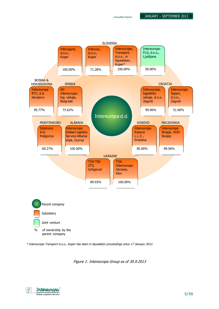

\* Intereuropa Transport d.o.o., Koper has been in liquidation proceedings since 17 January 2012.

Figure 1: Intereuropa Group as of 30.9.2013

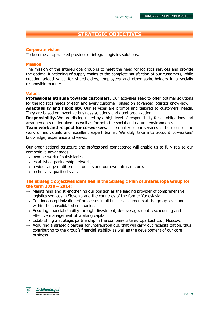### STRATEGIC OBJECTIVES

### Corporate vision

To become a top-ranked provider of integral logistics solutions.

### Mission

The mission of the Intereuropa group is to meet the need for logistics services and provide the optimal functioning of supply chains to the complete satisfaction of our customers, while creating added value for shareholders, employees and other stake-holders in a socially responsible manner.

### Values

**Professional attitude towards customers.** Our activities seek to offer optimal solutions for the logistics needs of each and every customer, based on advanced logistics know-how.

**Adaptability and flexibility.** Our services are prompt and tailored to customers' needs. They are based on inventive business solutions and good organization.

**Responsibility.** We are distinguished by a high level of responsibility for all obligations and arrangements undertaken, as well as for both the social and natural environments.

Team work and respect for co-workers. The quality of our services is the result of the work of individuals and excellent expert teams. We duly take into account co-workers' knowledge, experience and views.

Our organizational structure and professional competence will enable us to fully realize our competitive advantages:

- $\rightarrow$  own network of subsidiaries,
- $\rightarrow$  established partnership network,
- $\rightarrow$  a wide range of different products and our own infrastructure,
- $\rightarrow$  technically qualified staff.

### The strategic objectives identified in the Strategic Plan of Intereuropa Group for the term 2010 – 2014:

- $\rightarrow$  Maintaining and strengthening our position as the leading provider of comprehensive logistics services in Slovenia and the countries of the former Yugoslavia.
- $\rightarrow$  Continuous optimization of processes in all business segments at the group level and within the consolidated companies.
- $\rightarrow$  Ensuring financial stability through divestment, de-leverage, debt rescheduling and effective management of working capital.
- $\rightarrow$  Establishing a strategic partnership in the company Intereuropa East Ltd., Moscow.
- $\rightarrow$  Acquiring a strategic partner for Intereuropa d.d. that will carry out recapitalization, thus contributing to the group's financial stability as well as the development of our core business.

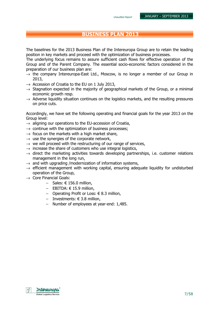### BUSINESS PLAN 2013

The baselines for the 2013 Business Plan of the Intereuropa Group are to retain the leading position in key markets and proceed with the optimization of business processes.

The underlying focus remains to assure sufficient cash flows for effective operation of the Group and of the Parent Company. The essential socio-economic factors considered in the preparation of our business plan are:

- $\rightarrow$  the company Intereuropa-East Ltd., Moscow, is no longer a member of our Group in 2013,
- $\rightarrow$  Accession of Croatia to the EU on 1 July 2013,
- $\rightarrow$  Stagnation expected in the majority of geographical markets of the Group, or a minimal economic growth resp.
- $\rightarrow$  Adverse liquidity situation continues on the logistics markets, and the resulting pressures on price cuts.

Accordingly, we have set the following operating and financial goals for the year 2013 on the Group level:

- $\rightarrow$  aligning our operations to the EU-accession of Croatia,
- $\rightarrow$  continue with the optimization of business processes;
- $\rightarrow$  focus on the markets with a high market share,
- $\rightarrow$  use the synergies of the corporate network,
- $\rightarrow$  we will proceed with the restructuring of our range of services,
- $\rightarrow$  increase the share of customers who use integral logistics,
- $\rightarrow$  direct the marketing activities towards developing partnerships, i.e. customer relations management in the long run,
- $\rightarrow$  and with upgrading /modernization of information systems,
- $\rightarrow$  efficient management with working capital, ensuring adequate liquidity for undisturbed operation of the Group,
- $\rightarrow$  Core Financial Goals:
	- − Sales: € 156.0 million,
	- − EBITDA: € 15.9 million,
	- − Operating Profit or Loss: € 8.3 million,
	- − Investments: € 3.8 million,
	- − Number of employees at year-end: 1,485.

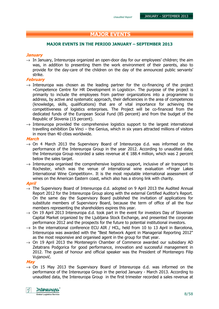### MAJOR EVENTS

#### MAJOR EVENTS IN THE PERIOD JANUARY – SEPTEMBER 2013

#### **January**

 $\rightarrow$  In January, Intereuropa organized an open-door day for our employees' children; the aim was, in addition to presenting them the work environment of their parents, also to provide for the day-care of the children on the day of the announced public servants' strike.

#### February

- $\rightarrow$  Intereuropa was chosen as the leading partner for the co-financing of the project »Competence Centre for HR Development in Logistics«. The purpose of the project is primarily to include the employees from partner organizations into a programme to address, by active and systematic approach, their deficiencies in the area of competences (knowledge, skills, qualifications) that are of vital importance for achieving the competitiveness of logistics enterprises. The Project will be co-financed from the dedicated funds of the European Social Fund (85 percent) and from the budget of the Republic of Slovenia (15 percent).
- $\rightarrow$  Intereuropa provided the comprehensive logistics support to the largest international travelling exhibition Da Vinci – the Genius, which in six years attracted millions of visitors in more than 40 cities worldwide.

#### March

- $\rightarrow$  On 4 March 2013 the Supervisory Board of Intereuropa d.d. was informed on the performance of the Intereuropa Group in the year 2012. According to unaudited data, the Intereuropa Group recorded a sales revenue at  $\epsilon$  188.4 million, which was 2 percent below the sales target.
- $\rightarrow$  Intereuropa organised the comprehensive logistics support, inclusive of air transport to Rochester, which was the venue of international wine evaluation »Finger Lakes International Wine Competition«. It is the most reputable international assessment of wines on the American Eastern coast, which also has a strong link with charity.

#### April

- $\rightarrow$  The Supervisory Board of Intereuropa d.d. adopted on 9 April 2013 the Audited Annual Report 2012 for the Intereuropa Group along with the external Certified Auditor's Report. On the same day the Supervisory Board published the invitation of applications for substitute members of Supervisory Board, because the term of office of all the four members representing the shareholders expires this year.
- $\rightarrow$  On 19 April 2013 Intereuropa d.d. took part in the event for investors Day of Slovenian Capital Market organized by the Ljubljana Stock Exchange, and presented the corporate performance 2012 and the prospects for the future to potential institutional investors.
- $\rightarrow$  In the international conference ECU AIR / HCL, held from 10 to 13 April in Barcelona, Intereuropa was awarded with the "Best Network Agent in Managerial Reporting 2012" as the most responsive and organised agent in the group for that year.
- $\rightarrow$  On 19 April 2013 the Montenegrin Chamber of Commerce awarded our subsidiary AD Zetatrans Podgorica for good performance, innovation and successful management in 2012. The guest of honour and official speaker was the President of Montenegro Filip Vujanović.

#### May

 $\rightarrow$  On 15 May 2013 the Supervisory Board of Intereuropa d.d. was informed on the performance of the Intereuropa Group in the period January - March 2013. According to unaudited data, the Intereuropa Group in the first trimester recorded a sales revenue at

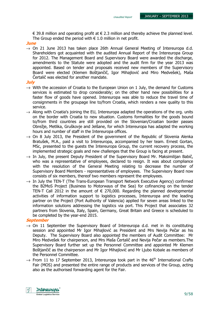€ 39.8 million and operating profit at  $∈$  2.3 million and thereby achieve the planned level. The Group ended the period with  $\epsilon$  1.0 million in net profit.

#### **June**

 $\rightarrow$  On 21 June 2013 has taken place 26th Annual General Meeting of Intereuropa d.d. Shareholders got acquainted with the audited Annual Report of the Intereuropa Group for 2012. The Management Board and Supervisory Board were awarded the discharge, amendments to the Statute were adopted and the audit firm for the year 2013 was appointed. Based on tender and proposals received new members of the Supervisory Board were elected (Klemen Boštjančič, Igor Mihajlović and Miro Medvešek), Maša Čertalič was elected for another mandate.

#### **July**

- $\rightarrow$  With the accession of Croatia to the European Union on 1 July, the demand for Customs services is estimated to drop considerably; on the other hand new possibilities for a faster flow of goods have opened. Intereuropa was able to reduce the travel time of consignments in the groupage line to/from Croatia, which renders a new quality to this service.
- $\rightarrow$  Along with Croatia's joining the EU, Intereuropa adapted the operations of the org. units on the border with Croatia to new situation. Customs formalities for the goods bound to/from third countries are still provided on the Slovenian/Croatian border passes Obrežje, Metlika, Gruškovje and Jelšane, for which Intereuropa has adapted the working hours and number of staff in the Intereuropa offices.
- $\rightarrow$  On 8 July 2013, the President of the government of the Republic of Slovenia Alenka Bratušek, M.A., paid a visit to Intereuropa, accompanied by her team. Ernest Gortan, MSc, presented to the guests the Intereuropa Group, the current recovery process, the implemented strategic goals and new challenges that the Group is facing at present.
- $\rightarrow$  In July, the present Deputy President of the Supervisory Board Mr. Maksimiliian Babič. who was a representative of employees, declared to resign. It was about compliance with the resolution of the General Meeting relating to decrease the number of Supervisory Board Members - representatives of employees. The Supervisory Board now consists of six members, thereof two members represent the employees.
- $\rightarrow$  In July the TEN-T (The Trans-European Transport Network Executive Agency) confirmed the B2MoS Project (Business to Motorways of the Sea) for cofinancing on the tender TEN-T Call 2012 in the amount of  $\epsilon$  270,000. Regarding the planned developmental activities of information support to logistics processes, Intereuropa and the leading partner on the Project (Port Authority of Valencia) applied for seven areas linked to the information solutions addressing the logistics via port. This Project that associates 32 partners from Slovenia, Italy, Spain, Germany, Great Britain and Greece is scheduled to be completed by the year-end 2015.

#### **September**

- $\rightarrow$  On 11 September the Supervisory Board of Intereuropa d.d. met in its constituting session and appointed Mr Igor Mihajlović as President and Mrs Nevija Pečar as his Deputy. The Supervisory Board also appointed the members of Audit Committee: Mr Miro Medvešek for chairperson, and Mrs Maša Čertalič and Nevija Pečar as members.The Supervisory Board further set up the Personnel Committee and appointed Mr Klemen Boštjančič as the chairperson and Mr Igor Mihajlović and Mr Ljubo Kobale as members of the Personnel Committee.
- $\rightarrow$  From 11 to 17 September 2013, Intereuropa took part in the 46<sup>th</sup> International Crafts Fair (MOS) and presented the entire range of products and services of the Group, acting also as the authorised forwarding agent for the Fair.

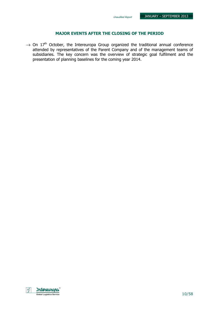### MAJOR EVENTS AFTER THE CLOSING OF THE PERIOD

 $\rightarrow$  On 17<sup>th</sup> October, the Intereuropa Group organized the traditional annual conference attended by representatives of the Parent Company and of the management teams of subsidiaries. The key concern was the overview of strategic goal fulfilment and the presentation of planning baselines for the coming year 2014.

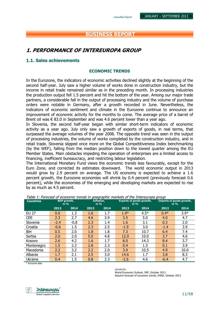### BUSINESS REPORT

### 1. PERFORMANCE OF INTEREUROPA GROUP

### 1.1. Sales achievements

#### ECONOMIC TRENDS

In the Eurozone, the indicators of economic activities declined slightly at the beginning of the second half-year. July saw a higher volume of works done in construction industry, but the income in retail trade remained similar as in the preceding month. In processing industries the production output fell 1.5 percent and hit the bottom of the year. Among our major trade partners, a considerable fall in the output of processing industry and the volume of purchase orders were notable in Germany, after a growth recorded in June. Nevertheless, the indicators of economic sentiment and climate in the Eurozone continue to announce an improvement of economic activity for the months to come. The average price of a barrel of Brent oil was  $\epsilon$  83.0 in September and was 4.6 percent lower than a year ago.

In Slovenia, the second half-year began with similar short-term indicators of economic activity as a year ago. July only saw a growth of exports of goods, in real terms, that surpassed the average volumes of the year 2008. The opposite trend was seen in the output of processing industries, the volume of works completed by the construction industry, and in retail trade. Slovenia slipped once more on the Global Competitiveness Index benchmarking (by the WEF), falling from the median position down to the lowest quarter among the EU Member States. Main obstacles impeding the operation of enterprises are a limited access to financing, inefficient bureaucracy, and restricting labour legislation.

The International Monetary Fund views the economic trends less favourably, except for the Euro Zone, and corrected its estimates downward. The world economic output in 2013 would grow by 2.9 percent on average. The US economy is expected to achieve a 1.6 percent growth, the Eurozone economies will shrink by 0.4 percent (previously forecast 0.6 percent), while the economies of the emerging and developing markets are expected to rise by as much as 4.5 percent.

| <b>Countries</b> |        | <b>BDP</b> growth,<br>in % | Inflation,<br>in $%$ |      | <b>Exports of goods growth,</b><br>in $%$ |        | Imports of goods growth,<br>in $%$ |        |
|------------------|--------|----------------------------|----------------------|------|-------------------------------------------|--------|------------------------------------|--------|
|                  | 2013   | 2014                       | 2013                 | 2014 | 2013                                      | 2014   | 2013                               | 2014   |
| <b>EU 27</b>     | 0.0    | 1.3                        | 1.6                  | 1.7  | $1.9*$                                    | $4.5*$ | $0.4*$                             | $3.9*$ |
| <b>CEE</b>       | 2.3    | 2.7                        | 4.6                  | 3.9  | 3.5                                       | 5.0    | 4.0                                | 4.7    |
| Slovenia         | $-2.4$ | $-0.8$                     | 2.3                  | 1.4  | 1.6                                       | 3.1    | 0.3                                | 2.0    |
| Croatia          | $-0.6$ | 1.5                        | 2.3                  | 2.5  | $-1.9$                                    | 3.0    | $-1.4$                             | 3.9    |
| BiH              | 0.5    | 2.0                        | 1.8                  | 1.8  | 7.3                                       | 10.7   | 6.4                                | 7.4    |
| Serbia           | 2.0    | 2.0                        | 5.0                  | 4.8  | 12.0                                      | 10.0   | 3.7                                | 4.6    |
| Kosovo           | 2.6    | 4.2                        | 1.6                  | 1.7  | 8.0                                       | 14.3   | 8.4                                | 3.7    |
| Montenegro       | 1.5    | 2.2                        | 2.8                  | 2.3  | 0.4                                       | 1.5    | 0.1                                | 3.9    |
| Macedonia        | 2.2    | 3.2                        | 2.2                  | 2.0  | 3.9                                       | 10.5   | 4.9                                | 10.0   |
| Albania          | 1.7    | 2.1                        | 2.5                  | 3.0  | 14.6                                      | 1.7    | 3.8                                | 8.3    |
| Ukraine          | 0.4    | 1.5                        | 0.8                  | 2.3  | $-2.6$                                    | 4.6    | $-6.4$                             | 4.7    |

Table 1: Forecast of economic trends in goegraphic markets of the Intereuropa group

\* Eurozone data

SOURCES:

World Economic Outlook, IMF, October 2013 Autumn forecast of economic trends, IMAD, October 2013

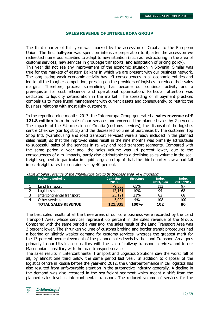#### Unaudited Report

### SALES REVENUE OF INTEREUROPA GROUP

The third quarter of this year was marked by the accession of Croatia to the European Union. The first half-year was spent on intensive preparation to it, after the accession we redirected numerous activities to adapt to new situation (such as restructuring in the area of customs services, new services in groupage transports, and adaptation of pricing policy). This year did not see any improvement of the economic situation in Slovenia. Similar was true for the markets of eastern Balkans in which we are present with our business network. The long-lasting weak economic activity has left consequences in all economic entities and led to all the tougher competition, pressing on the providers of logistics to reduce their sales margins. Therefore, process streamlining has become our continual activity and a prerequisite for cost efficiency and operational optimisation. Particular attention was dedicated to liquidity deterioration in the market: The spreading of ill payment practices compels us to more frugal management with current assets and consequently, to restrict the business relations with most risky customers.

In the reporting nine months 2013, the Intereuropa Group generated a sales revenue of  $\epsilon$ 121.8 million from the sale of our services and exceeded the planned sales by 2 percent. The impacts of the EU-accession of Croatia (customs services), the disposal of the logistics centre Chekhov (car logistics) and the decreased volume of purchases by the customer Top Shop Intl. (warehousing and road transport services) were already included in the planned sales result, so that the improved sales result in the nine months was primarily attributable to successful sales of the services in railway and road transport segments. Compared with the same period a year ago, the sales volume was 14 percent lower, due to the consequences of a.m. impacts, partly also attributable to a declining sales volume in the seafreight segment, in particular in liquid cargo; on top of that, the third quarter saw a bad fall in sea-freight rates for containers – by 40 percent.

|   | Poslovno področje          | Jan - Sep<br>2013 | <b>Structure</b> | <b>Index</b><br>2013/plan | <b>Index</b><br>2013/2012 |
|---|----------------------------|-------------------|------------------|---------------------------|---------------------------|
|   | Land transport             | 79,533            | 65%              | 113                       | 97                        |
|   | Logistics solutions        | 12,161            | 10%              | 94                        | 68                        |
| っ | Intercontinental transport | 25,121            | 21%              | 82                        | 68                        |
| 4 | Other services             | 5,020             | 4%               | 108                       | 100                       |
|   | <b>TOTAL SALES REVENUE</b> | 121,835           | <b>100%</b>      | 102                       | 86                        |

Table 2: Sales revenue of the Intereuropa Group by business area, in  $\epsilon$  thousand

The best sales results of all the three areas of our core business were recorded by the Land Transport Area, whose services represent 65 percent in the sales revenue of the Group. Compared with the same period a year ago, the sales result of the Land Transport Area was 3 percent lower. The shrunken volume of customs broking and border transit procedures had a bearing on slightly weaker demand for customs services, whereas the greatest merit for the 13-percent overachievement of the planned sales levels by the Land Transport Area goes primarily to our Ukrainian subsidiary with the sale of railway transport services, and to our Macedonian subsidiary with the road transport services.

The sales results in Intercontinental Transport and Logistics Solutions saw the worst fall of all, by almost one third below the same period last year. In addition to disposal of the logistics centre in Russia before the year-end 2012, the underperformance in car logistics has also resulted from unfavourable situation in the automotive industry generally. A decline in the demand was also recorded in the sea-freight segment which meant a shift from the planned sales level in intercontinental transport. The reduced volume of services for the

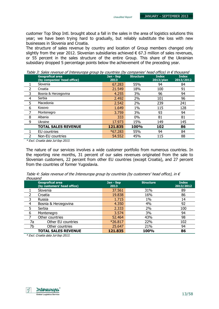customer Top Shop Intl. brought about a fall in the sales in the area of logistics solutions this year; we have been trying hard to gradually, but reliably substitute the loss with new businesses in Slovenia and Croatia.

The structure of sales revenue by country and location of Group members changed only slightly from the year 2012. Slovenian subsidiaries achieved  $\epsilon$  67.3 million of sales revenues, or 55 percent in the sales structure of the entire Group. This share of the Ukrainian subsidiary dropped 5 percentage points below the achievement of the preceding year.

Geografical area (by companies' head office) Jan - Sep 2013 Structure Index 2013/plan Index 2013/2012 1 Slovenia 67.283 55% 94 84 2 Croatia 21.549 18% 100 91 3 Bosnia & Herzegovina 4.255 3% 96 94 4 Serbia 2.492 2% 101 96 5 Macedonia 2.542 2% 239 241 6 Kosovo 1.649 1% 115 128 7 Montenegro 3.759 3% 93 94 8 Albania 333 0% 81 81 9 Ukraine 17.973 15% 149 145 TOTAL SALES REVENUE 121.835 100% 102 86 1 EU countries **1 1 FU countries 1 1 FU countries 1 55%** 94 84 2 Non-EU countries 2008 115 12 115 12 115 12 115 12 115 12 115 12 115 12 12 13 13 14 15 16 16 17 17 17 17 17 1

Table 3: Sales revenue of Intereuropa group by countries (by companies' head office) in  $\epsilon$  thousand

\* Excl. Croatia data Jul-Sep 2013.

The nature of our services involves a wide customer portfolio from numerous countries. In the reporting nine months, 31 percent of our sales revenues originated from the sale to Slovenian customers, 22 percent from other EU countries (except Croatia), and 27 percent from the countries of former Yugoslavia.

Table 4: Sales revenue of the Intereuropa group by countries (by customers' head office), in  $\epsilon$ thousand

|    | <b>Geografical area</b><br>(by customers' head office) | Jan - Sep<br>2013 | <b>Structure</b> | <b>Index</b><br>2013/2012 |
|----|--------------------------------------------------------|-------------------|------------------|---------------------------|
|    | Slovenia                                               | 37.561            | 31%              | 89                        |
|    | Croatia                                                | 19.838            | 16%              | 86                        |
| 3  | Russia                                                 | 1.715             | $1\%$            | 14                        |
| 4  | Bosnia & Herzegovina                                   | 4.350             | 4%               | 92                        |
| 5  | Serbia                                                 | 2.333             | 2%               | 100                       |
| 6  | Montenegro                                             | 3.574             | 3%               | 94                        |
|    | Other countries                                        | 52.464            | 43%              | 98                        |
| 7a | Other EU countries                                     | $*26.817$         | 22%              | 102                       |
| 7b | Other countries                                        | 25.647            | 21%              | 94                        |
|    | <b>TOTAL SALES REVENUE</b>                             | 121.835           | 100%             | 86                        |

\* Excl. Croatia data Jul-Sep 2013.

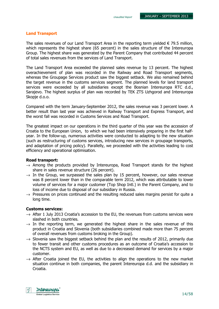### Land Transport

The sales revenues of our Land Transport Area in the reporting term yielded  $\epsilon$  79.5 million, which represents the highest share (65 percent) in the sales structure of the Intereuropa Group. The highest share was generated by the Parent Company that contributed 44 percent of total sales revenues from the services of Land Transport.

The Land Transport Area exceeded the planned sales revenue by 13 percent. The highest overachievement of plan was recorded in the Railway and Road Transport segments, whereas the Groupage Services product saw the biggest setback. We also remained behind the target revenue in the customs services segment. The planned levels for land transport services were exceeded by all subsidiaries except the Bosnian Intereuropa RTC d.d., Sarajevo. The highest surplus of plan was recorded by TEK ZTS Uzhgorod and Intereuropa Skopje d.o.o.

Compared with the term January-September 2012, the sales revenue was 3 percent lower. A better result than last year was achieved in Railway Transport and Express Transport, and the worst fall was recorded in Customs Services and Road Transport.

The greatest impact on our operations in the third quarter of this year was the accession of Croatia to the European Union, to which we had been intensively preparing in the first halfyear. In the follow-up, numerous activities were conducted to adapting to the new situation (such as restructuring of customs services, introducing new services in groupage transports, and adaptation of pricing policy). Parallelly, we proceeded with the activities leading to cost efficiency and operational optimisation.

### Road transport:

- $\rightarrow$  Among the products provided by Intereuropa, Road Transport stands for the highest share in sales revenue structure (26 percent).
- $\rightarrow$  In the Group, we surpassed the sales plan by 15 percent, however, our sales revenue was 8 percent lower than in the comparable term 2012, which was attributable to lower volume of services for a major customer (Top Shop Intl.) in the Parent Company, and to loss of income due to disposal of our subsidiary in Russia.
- $\rightarrow$  Pressures on prices continued and the resulting reduced sales margins persist for quite a long time.

### Customs services:

- $\rightarrow$  After 1 July 2013 Croatia's accession to the EU, the revenues from customs services were slashed in both countries.
- $\rightarrow$  In the reporting term, we generated the highest share in the sales revenue of this product in Croatia and Slovenia (both subsidiaries combined made more than 75 percent of overall revenues from customs broking in the Group).
- $\rightarrow$  Slovenia saw the biggest setback behind the plan and the results of 2012, primarily due to fewer transit and other customs procedures as an outcome of Croatia's accession to the NCTS system and EU, as well as due to a decreased demand for services by a major customer.
- $\rightarrow$  After Croatia joined the EU, the activities to align the operations to the new market situation continue in both companies, the parent Intereuropa d.d. and the subsidiary in Croatia.

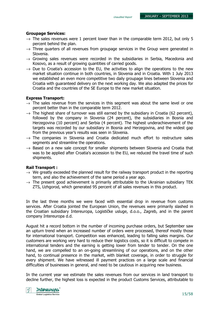### Groupage Services:

- $\rightarrow$  The sales revenues were 1 percent lower than in the comparable term 2012, but only 5 percent behind the plan.
- $\rightarrow$  Three quarters of all revenues from groupage services in the Group were generated in Slovenia.
- $\rightarrow$  Growing sales revenues were recorded in the subsidiaries in Serbia, Macedonia and Kosovo, as a result of growing quantities of carried goods.
- $\rightarrow$  Due to Croatia's accession to the EU, the activities to align the operations to the new market situation continue in both countries, in Slovenia and in Croatia. With 1 July 2013 we established an even more competitive two daily groupage lines between Slovenia and Croatia with guaranteed delivery on the next working day. We also adapted the prices for Croatia and the countries of the SE Europe to the new market situation.

### Express Transport:

- $\rightarrow$  The sales revenue from the services in this segment was about the same level or one percent better than in the comparable term 2012.
- $\rightarrow$  The highest share of turnover was still earned by the subsidiary in Croatia (62 percent), followed by the company in Slovenia (24 percent), the subsidiaries in Bosnia and Herzegovina (10 percent) and Serbia (4 percent). The highest underachievement of the targets was recorded by our subsidiary in Bosnia and Herzegovina, and the widest gap from the previous year's results was seen in Slovenia.
- $\rightarrow$  The companies in Slovenia and Croatia dedicated much effort to restructure sales segments and streamline the operations.
- $\rightarrow$  Based on a new sale concept for smaller shipments between Slovenia and Croatia that was to be applied after Croatia's accession to the EU, we reduced the travel time of such shipments.

### Rail Transport :

- $\rightarrow$  We greatly exceeded the planned result for the railway transport product in the reporting term, and also the achievement of the same period a year ago.
- $\rightarrow$  The present good achievement is primarily attributable to the Ukrainian subsidiary TEK ZTS, Uzhgorod, which generated 95 percent of all sales revenues in this product.

In the last three months we were faced with essential drop in revenue from customs services. After Croatia jointed the European Union, the revenues were primarily slashed in the Croatian subsidiary Intereuropa, Logističke usluge, d.o.o., Zagreb, and in the parent company Intereuropa d.d.

August hit a record bottom in the number of incoming purchase orders, but September saw an upturn trend when an increased number of orders were processed, thereof mostly those for international transport. Competition was enhanced, leading to falling sales margins. Our customers are working very hard to reduce their logistics costs, so it is difficult to compete in international tenders and the earning is getting lower from tender to tender. On the one hand, we are compelled to an on-going streamlining of our operations, and on the other hand, to continual presence in the market, with blanket coverage, in order to struggle for every shipment. We have witnessed ill payment practices on a large scale and financial difficulties of businesses in general, and need to be cautious in acquiring new business.

In the current year we estimate the sales revenues from our services in land transport to decline further, the highest loss is expected in the product Customs Services, attributable to

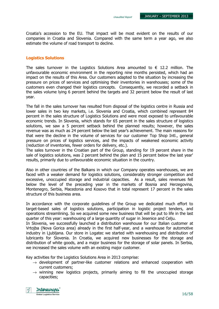Croatia's accession to the EU. That impact will be most evident on the results of our companies in Croatia and Slovenia. Compared with the same term a year ago, we also estimate the volume of road transport to decline.

### Logistics Solutions

The sales turnover in the Logistics Solutions Area amounted to  $\epsilon$  12.2 million. The unfavourable economic environment in the reporting nine months persisted, which had an impact on the results of this Area. Our customers adapted to the situation by increasing the pressure on prices of services and optimising their inventories in warehouses; some of the customers even changed their logistics concepts. Consequently, we recorded a setback in the sales volume lying 6 percent behind the targets and 32 percent below the result of last year.

The fall in the sales turnover has resulted from disposal of the logistics centre in Russia and lower sales in two key markets, i.e. Slovenia and Croatia, which combined represent 84 percent in the sales structure of Logistics Solutions and were most exposed to unfavourable economic trends. In Slovenia, which stands for 65 percent in the sales structure of logistics solutions, we saw a 5 percent setback behind the planned results; however, the sales revenue was as much as 24 percent below the last year's achievement. The main reasons for that were the decline in the volume of services for our customer Top Shop Intl., general pressure on prices of logistics services, and the impacts of weakened economic activity (reduction of inventories, fewer orders for delivery, etc.).

The sales turnover in the Croatian part of the Group, standing for 19 percent share in the sale of logistics solutions, was 2 percent behind the plan and 15 percent below the last year' results, primarily due to unfavourable economic situation in the country.

Also in other countries of the Balkans in which our Company operates warehouses, we are faced with a weaker demand for logistics solutions, considerably stronger competition and excessive, unoccupied storage and industrial capacities. As a result, sales revenues fell below the level of the preceding year in the markets of Bosnia and Herzegovina, Montenegro, Serbia, Macedonia and Kosovo that in total represent 17 percent in the sales structure of this business area.

In accordance with the corporate guidelines of the Group we dedicated much effort to target-based sales of logistics solutions, participation in logistic project tenders, and operations streamlining. So we acquired some new business that will be put to life in the last quarter of this year: warehousing of a large quantity of sugar in Jesenice and Celju.

In Slovenia, we successfully launched a distribution warehouse for our Italian customer at Vrtojba (Nova Gorica area) already in the first half-year, and a warehouse for automotive industry in Ljubljana. Our store in Logatec we started with warehousing and distribution of lubricants for Slovenia. In Croatia, we acquired new businesses for the storage and distribution of white goods, and a major business for the storage of solar panels. In Serbia, we increased the sales volume with an existing major customer.

Key activities for the Logistics Solutions Area in 2013 comprise:

- $\rightarrow$  development of partner-like customer relations and enhanced cooperation with current customers;
- $\rightarrow$  winning new logistics projects, primarily aiming to fill the unoccupied storage capacities;

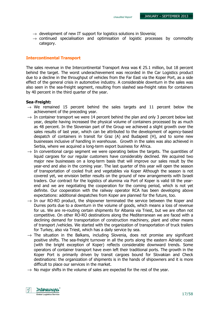- $\rightarrow$  development of new IT support for logistics solutions in Slovenia;
- $\rightarrow$  continued specialisation and optimisation of logistic processes by commodity category.

#### Intercontinental Transport

The sales revenue in the Intercontinental Transport Area was  $\epsilon$  25.1 million, but 18 percent behind the target. The worst underachievement was recorded in the Car Logistics product due to a decline in the throughput of vehicles from the Far East via the Koper Port, as a side effect of the general crisis in automotive industry. A considerable downturn in the sales was also seen in the sea-freight segment, resulting from slashed sea-freight rates for containers by 40 percent in the third quarter of the year.

#### Sea-Freight:

- $\rightarrow$  We remained 15 percent behind the sales targets and 11 percent below the achievement of the preceding year.
- $\rightarrow$  In container transport we were 14 percent behind the plan and only 3 percent below last year, despite having increased the physical volume of containers processed by as much as 48 percent. In the Slovenian part of the Group we achieved a slight growth over the sales results of last year, which can be attributed to the development of agency-based despatch of containers in transit for Graz (A) and Budapest (H), and to some new businesses inclusive of handling in warehouse. Growth in the sales was also achieved in Serbia, where we acquired a long-term export business for Africa.
- $\rightarrow$  In conventional cargo segment we were operating below the targets. The quantities of liquid cargoes for our regular customers have considerably declined. We acquired two major new businesses on a long-term basis that will improve our sales result by the year-end and also in the coming year. The last quarter of this year will open the season of transportation of cooled fruit and vegetables via Koper Although the season is not covered yet, we envision better results on the ground of new arrangements with Israeli traders. Our contract for the logistics of alumina via Port of Koper is valid till the yearend and we are negotiating the cooperation for the coming period, which is not yet definite. Our cooperation with the railway operator RCA has been developing above expectations: additional despatches from Koper are planned for the future, too.
- $\rightarrow$  In our RO-RO product, the shipowner terminated the service between the Koper and Durres ports due to a downturn in the volume of goods, which means a loss of revenue for us. We are re-routing certain shipments for Albania via Triest, but we are often not competitive. On other RO-RO destinations along the Mediterranean we are faced with a declining demand for transportation of construction machinery, plant and other means of transport /vehicles. We started with the organization of transportation of truck trailers for Turkey, also via Triest, which has a daily service by sea.
- $\rightarrow$  The situation in the Balkans, including Slovenia, does not promise any significant positive shifts. The sea-freight turnover in all the ports along the eastern Adriatic coast (with the bright exception of Koper) reflects considerable downward trends. Some operators of container transport have even left their traditional ports. The growth in the Koper Port is primarily driven by transit cargoes bound for Slovakian and Check destinations: the organization of shipments is in the hands of shipowners and it is more difficult to place our services in the market.
- $\rightarrow$  No major shifts in the volume of sales are expected for the rest of the year.

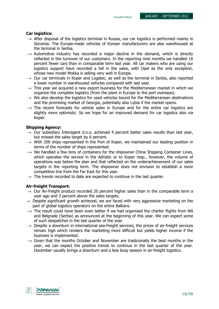### Car logistics:

- $\rightarrow$  After disposal of the logistics terminal in Russia, our car logistics is performed mainly in Slovenia. The Europe-made vehicles of Korean manufacturers are also warehoused at the terminal in Serbia.
- $\rightarrow$  Automotive industry has recorded a major decline in the demand, which is directly reflected in the turnover of our customers. In the reporting nine months we handled 16 percent fewer cars than in comparable term last year. All car makers who are using our logistics support have recorded a fall in the sales, with Opel as the only exception, whose new model Mokka is selling very well in Europe.
- $\rightarrow$  Our car terminals in Koper and Logatec, as well as the terminal in Serbia, also reported a lower number in warehoused vehicles compared with last year.
- $\rightarrow$  This year we acquired a new export business for the Mediterranean market in which we organize the complete logistics (from the plant in Europe to the port overseas).
- $\rightarrow$  We also develop the logistics for used vehicles bound for the Mediterranean destinations and the promising market of Georgia, potentially also Lybia if the market opens.
- $\rightarrow$  The recent forecasts for vehicle sales in Europe and for the entire car logistics are slightly more optimistic. So we hope for an improved demand for car logistics also via Koper.

### Shipping Agency:

- $\rightarrow$  Our subsidiary Interagent d.o.o. achieved 4 percent better sales results than last year, but missed the sales target by 6 percent.
- $\rightarrow$  With 200 ships represented in the Port of Koper, we maintained our leading position in terms of the number of ships represented.
- $\rightarrow$  We handled a few tens of containers for the shipowner China Shipping Container Lines, which operates the service in the Adriatic or to Koper resp., however, the volume of operations was below the plan and that reflected on the underachievement of our sales targets in the reporting term. The shipowner does not envision to establish a more competitive line from the Far East for this year.
- $\rightarrow$  The trends recorded to date are expected to continue in the last quarter.

### Air-freight Transport:

- $\rightarrow$  Our Air-freight product recorded 20 percent higher sales than in the comparable term a year ago and 3 percent above the sales targets.
- $\rightarrow$  Despite significant growth achieved, we are faced with very aggressive marketing on the part of global logistics operators on the entire Balkans.
- $\rightarrow$  The result could have been even better if we had organised the charter flights from Niš and Belgrade (Serbia) as announced at the beginning of this year. We can expect some of such despatches in the last quarter of the year.
- $\rightarrow$  Despite a downturn in international sea-freight services, the prices of air-freight services remain high which renders the marketing more difficult but yields higher income if the business is implemented.
- $\rightarrow$  Given that the months October and November are tradicionally the best months in the year, we can expect the positive trends to continue in the last quarter of the year. December usually brings a downturn and a less busy season in air-freight logistics.

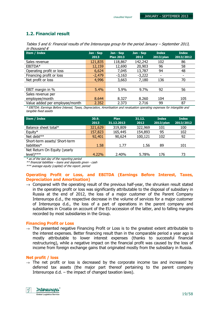### 1.2. Financial result

| Tables 5 and 6: Financial results of the Intereuropa group for the period January – September 2013, |  |
|-----------------------------------------------------------------------------------------------------|--|
| in thousand $\epsilon$                                                                              |  |

| Item / Index                   | Jan - Sep<br>2013 | Jan - Sep<br><b>Plan 2013</b> | Jan - Sep<br>2012 | <b>Index</b><br>2013/plan | <b>Index</b><br>2013/2012 |
|--------------------------------|-------------------|-------------------------------|-------------------|---------------------------|---------------------------|
| Sales revenue                  | 121,835           | 118,867                       | 142,242           | 102                       | 86                        |
| EBITDA*                        | 12,159            | 12,690                        | 20,903            | 96                        | 58                        |
| Operating profit or loss       | 6,624             | 7,045                         | 13,787            | 94                        | 48                        |
| Financing profit or loss       | $-2,479$          | $-3,163$                      | $-3,222$          |                           |                           |
| Net profit or loss             | 4,996             | 3,663                         | 7,180             | 136                       | 70                        |
|                                |                   |                               |                   |                           |                           |
| EBIT margin in %               | 5.4%              | 5.9%                          | 9.7%              | 92                        | 56                        |
| Sales revenue per              |                   |                               |                   |                           |                           |
| employee/month                 | 8.644             | 8.327                         | 8.260             | 104                       | 105                       |
| Value added per employee/month | 2.352             | 2.373                         | 2.716             | 99                        | 87                        |

\* EBITDA: Earnings Before Interest, Taxes, Depreciation, Amortisation and revaluation operating expenses for intangible and tangible fixed assets

| <b>Item / Index</b>           | 30.9.<br>2013 | <b>Plan</b><br>31.12.2013 | 31.12.<br>2012 | <b>Index</b><br>2013/plan | <b>Index</b><br>2013/2012 |
|-------------------------------|---------------|---------------------------|----------------|---------------------------|---------------------------|
| Balance sheet total*          | 321,629       | 319,809                   | 322,969        | 101                       | 100                       |
| Equity*                       | 157,823       | 165,445                   | 154,893        | 95                        | 102                       |
| Net debt $**$                 | 92,401        | 90,624                    | 100,121        | 102                       | 92                        |
| Short-term assets/ Short-term |               |                           |                |                           |                           |
| liabilities $*$               | 1.58          | 1.77                      | 1.56           | 89                        | 101                       |
| Net Return On Equity (yearly  |               |                           |                |                           |                           |
| $level)****$                  | 4.22%         | 2.40%                     | 5.78%          | 176                       | 73                        |

\* as of the last day of the reporting period

\*\* financial liabilities – loans and deposits given - cash

\*\*\* average equity (capital) of the report. period

### Operating Profit or Loss, and EBITDA (Earnings Before Interest, Taxes, Depreciation and Amortisation)

 $\rightarrow$  Compared with the operating result of the previous half-year, the shrunken result stated in the operating profit or loss was significantly attributable to the disposal of subsidiary in Russia at the end of 2012, the loss of a major customer of the Parent Company Intereuropa d.d., the respective decrease in the volume of services for a major customer of Intereuropa d.d., the loss of a part of operations in the parent company and subsidiaries in Croatia on account of the EU-accession of the latter, and to falling margins recorded by most subsidiaries in the Group.

### Financing Profit or Loss

 $\rightarrow$  The presented negative Financing Profit or Loss is to the greatest extent attributable to the interest expenses. Better financing result than in the comparable period a year ago is mostly attributable to lower interest expenses (thanks to successful financial restructuring), while a negative impact on the financial profit was caused by the loss of income from foreign exchange gains that originated mostly from the subsidiary in Russia.

### Net profit / loss

 $\rightarrow$  The net profit or loss is decreased by the corporate income tax and increased by deferred tax assets (the major part thereof pertaining to the parent company Intereuropa d.d. – the impact of changed taxation laws).

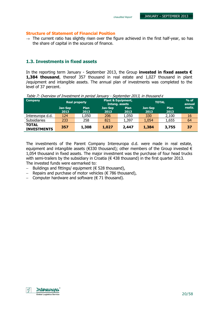### Structure of Statement of Financial Position

 $\rightarrow$  The current ratio has slightly risen over the figure achieved in the first half-year, so has the share of capital in the sources of finance.

Unaudited Report

### 1.3. Investments in fixed assets

In the reporting term January - September 2013, the Group invested in fixed assets  $\epsilon$ **1,384 thousand**, thereof 357 thousand in real estate and 1,027 thousand in plant /equipment and intangible assets. The annual plan of investments was completed to the level of 37 percent.

| <b>Company</b>                     |                 | <b>Real property</b> | <b>Plant &amp; Equipment,</b><br>Intang. assets |                     | <b>TOTAL</b>    | $%$ of<br>annual    |         |
|------------------------------------|-----------------|----------------------|-------------------------------------------------|---------------------|-----------------|---------------------|---------|
|                                    | Jan-Sep<br>2013 | <b>Plan</b><br>2013  | Jan-Sep<br>2013                                 | <b>Plan</b><br>2013 | Jan-Sep<br>2013 | <b>Plan</b><br>2013 | realiz. |
| Intereuropa d.d.                   | 124             | 1,050                | 206                                             | 1,050               | 330             | 2,100               | 16      |
| <b>Subsidiaries</b>                | 233             | 258                  | 821                                             | 1,397               | 1,054           | 1,655               | 64      |
| <b>TOTAL</b><br><b>INVESTMENTS</b> | 357             | 1,308                | 1,027                                           | 2,447               | 1,384           | 3,755               | 37      |

Table 7: Overview of Investment in period January - September 2013, in thousand  $\epsilon$ 

The investments of the Parent Company Intereuropa d.d. were made in real estate, equipment and intangible assets ( $\epsilon$ 330 thousand); other members of the Group invested  $\epsilon$ 1,054 thousand in fixed assets. The major investment was the purchase of four head trucks with semi-trailers by the subsidiary in Croatia ( $\epsilon$  438 thousand) in the first quarter 2013. The invested funds were earmarked to:

- − Buildings and fittings/ equipment (€ 528 thousand),
- − Repairs and purchase of motor vehicles (€ 786 thousand),
- − Computer hardware and software (€ 71 thousand).

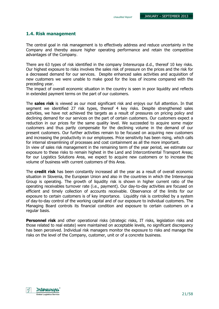### 1.4. Risk management

The central goal in risk management is to effectively address and reduce uncertainty in the Company and thereby assure higher operating performance and retain the competitive advantages of the Company.

There are 63 types of risk identified in the company Intereuropa d.d., thereof 10 key risks. Our highest exposure to risks involves the sales risk of pressure on the prices and the risk for a decreased demand for our services. Despite enhanced sales activities and acquisition of new customers we were unable to make good for the loss of income compared with the preceding year.

The impact of overall economic situation in the country is seen in poor liquidity and reflects in extended payment terms on the part of our customers.

The **sales risk** is viewed as our most significant risk and enjoys our full attention. In that segment we identified 27 risk types, thereof 4 key risks. Despite strengthened sales activities, we have not achieved the targets as a result of pressures on pricing policy and declining demand for our services on the part of certain customers. Our customers expect a reduction in our prices for the same quality level. We succeeded to acquire some major customers and thus partly compensate for the declining volume in the demand of our present customers. Our further activities remain to be focused on acquiring new customers and increasing the productivity in our employees. Price sensitivity has been rising, which calls for internal streamlining of processes and cost containment as all the more important.

In view of sales risk management in the remaining term of the year period, we estimate our exposure to these risks to remain highest in the Land and Intercontinental Transport Areas; for our Logistics Solutions Area, we expect to acquire new customers or to increase the volume of business with current customers of this Area.

The **credit risk** has been constantly increased all the year as a result of overall economic situation in Slovenia, the European Union and also in the countries in which the Intereuropa Group is operating. The growth of liquidity risk is shown in higher current ratio of the operating receivables turnover rate (i.e., payment). Our day-to-day activities are focused on efficient and timely collection of accounts receivable. Observance of the limits for our exposure to certain customers is of key importance. Liquidity risk is controlled by a system of day-to-day control of the working capital and of our exposure to individual customers. The Managing Board controls its financial condition and exposure to certain customers on a regular basis.

Personnel risk and other operational risks (strategic risks, IT risks, legislation risks and those related to real estate) were maintained on acceptable levels, no significant discrepancy has been perceived. Individual risk managers monitor the exposure to risks and manage the risks on the level of the Company, customer, unit or of a concrete business.

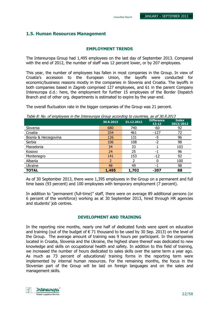### 1.5. Human Resources Management

#### EMPLOYMENT TRENDS

The Intereuropa Group had 1,495 employees on the last day of September 2013. Compared with the end of 2012, the number of staff was 12 percent lower, or by 207 employees.

This year, the number of employees has fallen in most companies in the Group. In view of Croatia's accession to the European Union, the layoffs were conducted for economic/business reasons mostly in the companies in Slovenia and Croatia. The layoffs in both companies based in Zagreb comprised 127 employees, and 61 in the parent Company Intereuropa d.d.: here, the employment for further 15 employees of the Border Dispatch Branch and of other org. departments is estimated to expire by the year-end.

The overall fluctuation rate in the bigger companies of the Group was 21 percent.

Table 8: No. of employees in the Intereuropa Group according to countries, as of 30.9.2013

| rabic or from or employees in the michelenopa eroup according to countries, as or sonsized | 30.9.2013 | 31.12.2012 | <b>Difference</b><br>$13 - 12$ | <b>Index</b><br>2013/2012 |
|--------------------------------------------------------------------------------------------|-----------|------------|--------------------------------|---------------------------|
| Slovenia                                                                                   | 680       | 740        | -60                            | 92                        |
| Croatia                                                                                    | 334       | 461        | $-127$                         | 72                        |
| Bosnia & Herzegovina                                                                       | 126       | 131        | -5                             | 96                        |
| Serbia                                                                                     | 106       | 108        | $-2$                           | 98                        |
| Macedonia                                                                                  | 34        | 33         |                                | 103                       |
| Kosovo                                                                                     | 24        | 25         | - 1                            | 96                        |
| Montenegro                                                                                 | 141       | 153        | $-12$                          | 92                        |
| Albania                                                                                    |           |            |                                | 100                       |
| Ukraine                                                                                    | 48        | 49         | н.                             | 98                        |
| <b>TOTAL</b>                                                                               | 1,495     | 1,702      | -207                           | 88                        |

As of 30 September 2013, there were 1,395 employees in the Group on a permanent and full time basis (93 percent) and 100 employees with temporary employment (7 percent).

In addition to "permanent (full-time)" staff, there were on average 89 additional persons (or 6 percent of the workforce) working as at 30 September 2013, hired through HR agencies and students' job centres.

### DEVELOPMENT AND TRAINING

In the reporting nine months, nearly one half of dedicated funds were spent on education and training (out of the budget of  $\epsilon$  71 thousand to be used by 30 Sep. 2013) on the level of the Group. The average amount of training was 9 hours per participant. In the companies located in Croatia, Slovenia and the Ukraine, the highest share thereof was dedicated to new knowledge and skills on occupational health and safety. In addition to this field of training, we increased the number of hours dedicated to sales skills over the same term a year ago. As much as 73 percent of educational/ training forms in the reporting term were implemented by internal human resources. For the remaining months, the focus in the Slovenian part of the Group will be laid on foreign languages and on the sales and management skills.

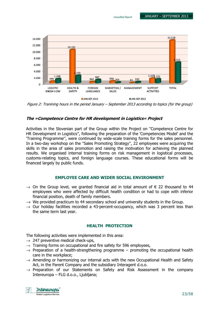Unaudited Report



Figure 2: Tranining hours in the period January – September 2013 according to topics (for the group)

### The »Competence Centre for HR development in Logistics« Project

Activities in the Slovenian part of the Group within the Project on ''Competence Centre for HR Development in Logistics'', following the preparation of the 'Competencies Model' and the 'Training Programme'', were continued by wide-scale training forms for the sales personnel. In a two-day workshop on the ''Sales Promoting Strategy'', 22 employees were acquiring the skills in the area of sales promotion and raising the motivation for achieving the planned results. We organised internal training forms on risk management in logistical processes, customs-relating topics, and foreign language courses. These educational forms will be financed largely by public funds.

### EMPLOYEE CARE AND WIDER SOCIAL ENVIRONMENT

- $\rightarrow$  On the Group level, we granted financial aid in total amount of  $\epsilon$  22 thousand to 44 employees who were affected by difficult health condition or had to cope with inferior financial position, death of family members.
- $\rightarrow$  We provided practicum to 44 secondary school and university students in the Group.
- $\rightarrow$  Our holiday facilities recorded a 43-percent-occupancy, which was 3 percent less than the same term last year.

### HEALTH PROTECTION

The following activities were implemented in this area:

- $\rightarrow$  247 preventive medical check-ups,
- $\rightarrow$  Training forms on occupational and fire safety for 596 employees,
- $\rightarrow$  Preparation of a health-strengthening programme promoting the occupational health care in the workplace;
- $\rightarrow$  Amending or harmonizing our internal acts with the new Occupational Health and Safety Act, in the Parent Company and the subsidiary Interagent d.o.o.
- $\rightarrow$  Preparation of our Statements on Safety and Risk Assessment in the company Intereuropa – FLG d.o.o., Ljubljana;

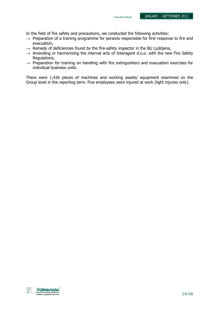In the field of fire safety and precautions, we conducted the following activities:

- $\rightarrow$  Preparation of a training programme for persons responsible for first response to fire and evacuation,
- $\rightarrow$  Remedy of deficiencies found by the fire-safety inspector in the BU Ljubljana,
- $\rightarrow$  Amending or harmonizing the internal acts of Interagent d.o.o. with the new Fire Safety Regulations,
- $\rightarrow$  Preparation for training on handling with fire extinguishers and evacuation exercises for individual business units.

There were 1,426 pieces of machines and working assets/ equipment examined on the Group level in the reporting term. Five employees were injured at work (light injuries only).

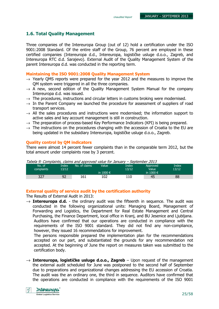### 1.6. Total Quality Management

Three companies of the Intereuropa Group (out of 12) hold a certification under the ISO 9001:2008 Standard. Of the entire staff of the Group, 76 percent are employed in these certified companies (Intereuropa d.d., Intereuropa, logističke usluge d.o.o., Zagreb, and Intereuropa RTC d.d. Sarajevo). External Audit of the Quality Management System of the parent Intereuropa d.d. was conducted in the reporting term.

#### Maintaining the ISO 9001:2008 Quality Management System

- $\rightarrow$  Yearly OMS reports were prepared for the year 2012 and the measures to improve the QM system were triggered in all the three companies.
- $\rightarrow$  A new, second edition of the Quality Management System Manual for the company Intereuropa d.d. was issued.
- $\rightarrow$  The procedures, instructions and circular letters in customs broking were modernised.
- $\rightarrow$  In the Parent Company we launched the procedure for assessment of suppliers of road transport services.
- $\rightarrow$  All the sales procedures and instructions were modernised; the information support to active sales and key account management is still in construction.
- $\rightarrow$  The preparation of process-based Key Performance Indicators (KPI) is being prepared.
- $\rightarrow$  The instructions on the procedures changing with the accession of Croatia to the EU are being updated in the subsidiary Intereuropa, logističke usluge d.o.o., Zagreb.

### Quality control by QM indicators

There were almost 14 percent fewer complaints than in the comparable term 2012, but the total amount under complaints rose by 3 percent.

| radeia 9: Compialms, cialms and approved value for January – September 2013 |       |               |                    |       |                    |       |
|-----------------------------------------------------------------------------|-------|---------------|--------------------|-------|--------------------|-------|
| No. of                                                                      | Index | No. of claims | Value              | Index | Approved           | Index |
| complaints                                                                  | 13/12 |               |                    | 13/12 | Value <sup>1</sup> | 13/12 |
|                                                                             |       |               | in 1000 $\epsilon$ |       | in 1000 $\epsilon$ |       |
| 327                                                                         | 92    | 161           | 102                | 110   | 45                 | 88    |

### Tabela 9: Complaints, claims and approved value for January – September 2013

### External quality of service audit by the certification authority

The Results of External Audit in 2013:

 $\rightarrow$  Intereuropa d.d. - the ordinary audit was the fifteenth in sequence. The audit was conducted in the following organizational units: Managing Board, Management of Forwarding and Logistics, the Department for Real Estate Management and Central Purchasing, the Finance Department, local office in Kranj, and BU Jesenice and Ljubljana. Auditors have confirmed that our operations are conducted in compliance with the requirements of the ISO 9001 standard. They did not find any non-compliance, however, they issued 16 recommendations for improvement.

The persons responsible prepared the implementation plan for the recommendations accepted on our part, and substantiated the grounds for any recommendation not accepted. At the beginning of June the report on measures taken was submitted to the certification body.

 $\rightarrow$  Intereuropa, logističke usluge d.o.o., Zagreb – Upon request of the management the external audit scheduled for June was postponed to the second half of September due to preparations and organizational changes addressing the EU accession of Croatia. The audit was the an ordinary one, the third in sequence. Auditors have confirmed that the operations are conducted in compliance with the requirements of the ISO 9001

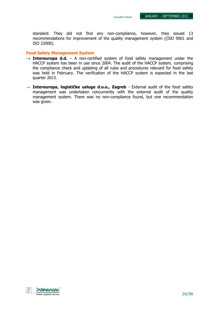standard. They did not find any non-compliance, however, they issued 13 recommendations for improvement of the quality management system ((ISO 9001 and ISO 22000).

#### Food Safety Management System

- $\rightarrow$  Intereuropa d.d. A non-certified system of food safety management under the HACCP system has been in use since 2004. The audit of the HACCP system, comprising the compliance check and updating of all rules and procedures relevant for food safety was held in February. The verification of the HACCP system is expected in the last quarter 2013.
- $\rightarrow$  Intereuropa, logističke usluge d.o.o., Zagreb External audit of the food safety management was undertaken concurrently with the external audit of the quality management system. There was no non-compliance found, but one recommendation was given.

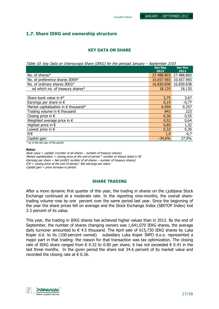### 1.7. Share IEKG and ownership structure

### KEY DATA ON SHARE

Table 10: Key Data on Intereuropa Share (IEKG) for the perioad January – September 2103

|                                       | <b>Jan-Sep</b><br>2013 | Jan-Dec<br>2012 |
|---------------------------------------|------------------------|-----------------|
| No. of shares*                        | 27.488.803             | 27.488.803      |
| No. of preference shares IEKN*        | 10.657.965             | 10.657.965      |
| No. of ordinary shares IEKG*          | 16.830.838             | 16.830.838      |
| od which no. of treasury shares*      | 18.135                 | 18.135          |
|                                       |                        |                 |
| Share book value in $\in^*$           | 3,75                   | 3,67            |
| Earnings per share in $\epsilon$      | 0,19                   | $-0,77$         |
| Market capitalisation in € thousand*  | 6.059                  | 9.257           |
| Trading volume in $\epsilon$ thousand | 843                    | 223             |
| Closing price in $\epsilon$           | 0,36                   | 0,55            |
| Weighted average price in $\epsilon$  | 0,52                   | 0,64            |
| Highest price in $\epsilon$           | 0,85                   | 1,32            |
| Lowest price in $\epsilon$            | 0,32                   | 0,30            |
| P/E                                   | 1,9                    | $-0,7$          |
| Capital gain                          | $-34,6%$               | 27,9%           |

\* as of the last day of the period

#### Notes:

Book value = capital/ (number of all shares – number of treasury shares) Market capitalisation = closing price at the end of period  $*$  number of shares listed in SE Earnings per share = Net profit/( number of all shares – number of treasury shares)  $P/E = c$  cosing price at the end of period / Net earnings per share Capital gain = price increase in period

### SHARE TRADING

After a more dynamic first quarter of this year, the trading in shares on the Ljubljana Stock Exchange continued at a moderate rate. In the reporting nine-months, the overall sharetrading volume rose by one percent over the same period last year. Since the beginning of the year the share prices fell on average and the Stock Exchange Index (SBITOP Index) lost 3.3 percent of its value.

This year, the trading in IEKG shares has achieved higher values than in 2012. By the end of September, the number of shares changing owners was 1,641,070 IEKG shares, the average daily turnover amounted to  $\epsilon$  4.5 thousand. The April sale of 615,730 IEKG shares by Luka Koper d.d. to its (100-percent owned) subsidiary Luka Koper INPO d.o.o. represented a major part in that trading: the reason for that transaction was tax optimization. The closing rate of IEKG share ranged from  $\epsilon$  0.32 to 0.85 per share; it has not exceeded  $\epsilon$  0.41 in the last three months. In the given period the share lost 34.6 percent of its market value and recorded the closing rate at  $\epsilon$  0.36.

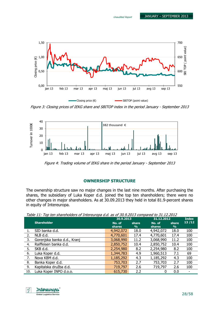

Figure 3: Closing prices of IEKG share and SBITOP index in the period January - September 2013



Figure 4: Trading volume of IEKG share in the period January - September 2013

### OWNERSHIP STRUCTURE

The ownership structure saw no major changes in the last nine months. After purchasing the shares, the subsidiary of Luka Koper d.d. joined the top ten shareholders; there were no other changes in major shareholders. As at 30.09.2013 they held in total 81.9-percent shares in equity of Intereuropa.

Table 11: Top ten shareholders of Intereuropa d.d. as of 30.9.2013 compared to 31.12.2012

|     |                             | 30.9.2013     |               | 31.12.2012    |               | <b>Index</b> |
|-----|-----------------------------|---------------|---------------|---------------|---------------|--------------|
|     | <b>Shareholder</b>          | No. of        | share         | No. of        | share         | 13/12        |
|     |                             | <b>shares</b> | $\frac{9}{6}$ | <b>shares</b> | $\frac{9}{6}$ |              |
| 1.  | SID banka d.d.              | 4,942,072     | 18.0          | 4,942,072     | 18.0          | 100          |
| 2.  | NLB d.d.                    | 4,770,601     | 17.4          | 4,770,601     | 17.4          | 100          |
| 3.  | Gorenjska banka d.d., Kranj | 3,068,990     | 11.2          | 3,068,990     | 11.2          | 100          |
| 4.  | Raiffeisen banka d.d.       | 2,850,752     | 10.4          | 2,850,752     | 10.4          | 100          |
| 5.  | SKB d.d.                    | 2,254,980     | 8.2           | 2,254,980     | 8.2           | 100          |
| 6.  | Luka Koper d.d.             | 1,344,783     | 4.9           | 1,960,513     | 7.1           | 69           |
| 7.  | Nova KBM d.d.               | 1,185,292     | 4.3           | 1,185,292     | 4.3           | 100          |
| 8.  | Banka Koper d.d.            | 753,703       | 2.7           | 753,703       | 2.7           | 100          |
| 9.  | Kapitalska družba d.d.      | 719,797       | 2.6           | 719,797       | 2.6           | 100          |
| 10. | Luka Koper INPO d.o.o.      | 615,730       | 2.2           |               | 0.0           |              |

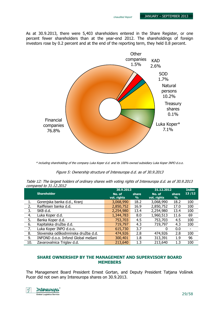As at 30.9.2013, there were 5,403 shareholders entered in the Share Register, or one percent fewer shareholders than at the year-end 2012. The shareholdings of foreign investors rose by 0.2 percent and at the end of the reporting term, they held 0.8 percent.



\* including shareholding of the company Luka Koper d.d. and its 100%-owned subsidiary Luka Koper INPO d.o.o.

Figure 5: Ownership structure of Intereuropa d.d. as of 30.9.2013

Table 12: The largest holders of ordinary shares with voting rights of Intereuropa d.d. as of 30.9.2013 compared to 31.12.2012

|     |                                     | 30.9.2013             |                        | 31.12.2012            |                        | <b>Index</b> |
|-----|-------------------------------------|-----------------------|------------------------|-----------------------|------------------------|--------------|
|     | <b>Shareholder</b>                  | No. of<br>vot. rights | share<br>$\frac{9}{6}$ | No. of<br>vot. rights | share<br>$\frac{9}{6}$ | 13/12        |
| 1.  | Gorenjska banka d.d., Kranj         | 3,068,990             | 18.2                   | 3,068,990             | 18.2                   | 100          |
| 2.  | Raiffeisen banka d.d.               | 2,850,752             | 16.9                   | 2,850,752             | 17.0                   | 100          |
| 3.  | SKB d.d.                            | 2,254,980             | 13.4                   | 2,254,980             | 13.4                   | 100          |
| 4.  | Luka Koper d.d.                     | 1,344,783             | 8.0                    | 1,960,513             | 11.6                   | 69           |
| 5.  | Banka Koper d.d.                    | 753,703               | 4.5                    | 753,703               | 4.5                    | 100          |
| 6.  | Kapitalska družba d.d.              | 719,797               | 4.3                    | 719,797               | 4.3                    | 100          |
| 7.  | Luka Koper INPO d.o.o.              | 615,730               | 3.7                    | 0                     | 0.0                    | -            |
| 8.  | Slovenska odškodnninska družba d.d. | 474,926               | 2.8                    | 474,926               | 2.8                    | 100          |
| 9.  | INFOND d.o.o. Infond Global mešani  | 300,401               | 1.8                    | 313,391               | 1.9                    | 96           |
| 10. | Zavarovalnica Triglav d.d.          | 213,640               | 1.3                    | 213,640               | 1.3                    | 100          |

### SHARE OWNERSHIP BY THE MANAGEMENT AND SUPERVISORY BOARD MEMEBERS

The Management Board President Ernest Gortan, and Deputy President Tatjana Vošinek Pucer did not own any Intereuropa shares on 30.9.2013.

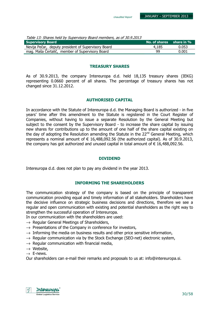| <b>Supervisory Board</b>                            | No. of shares share in % |       |
|-----------------------------------------------------|--------------------------|-------|
| Nevija Pečar, deputy president of Supervisory Board | 4,185                    | 0.053 |
| mag. Maša Čertalič, member of Supervisory Board     | 99                       | 0.001 |

### TREASURY SHARES

As of 30.9.2013, the company Intereuropa d.d. held 18,135 treasury shares (IEKG) representing 0.0660 percent of all shares. The percentage of treasury shares has not changed since 31.12.2012.

### AUTHORISED CAPITAL

In accordance with the Statute of Intereuropa d.d. the Managing Board is authorized - in five years' time after this amendment to the Statute is registered in the Court Register of Companies, without having to issue a separate Resolution by the General Meeting but subject to the consent by the Supervisory Board - to increase the share capital by issuing new shares for contributions up to the amount of one half of the share capital existing on the day of adopting the Resolution amending the Statute in the 22<sup>nd</sup> General Meeting, which represents a nominal amount of  $\epsilon$  16,488,092.56 (the authorized capital). As of 30.9.2013, the company has got authorized and unused capital in total amount of  $\epsilon$  16,488,092.56.

### DIVIDEND

Intereuropa d.d. does not plan to pay any dividend in the year 2013.

### INFORMING THE SHAREHOLDERS

The communication strategy of the company is based on the principle of transparent communication providing equal and timely information of all stakeholders. Shareholders have the decisive influence on strategic business decisions and directions, therefore we see a regular and open communication with existing and potential shareholders as the right way to strengthen the successful operation of Intereuropa.

In our communication with the shareholders are used:

- $\rightarrow$  Regular General Meetings of Shareholders,
- $\rightarrow$  Presentations of the Company in conference for investors,
- $\rightarrow$  Informing the media on business results and other price sensitive information,
- $\rightarrow$  Regular communication via by the Stock Exchange (SEO-net) electronic system,
- $\rightarrow$  Regular communication with financial media,
- $\rightarrow$  Website,
- $\rightarrow$  E-news.

Our shareholders can e-mail their remarks and proposals to us at: info@intereuropa.si.

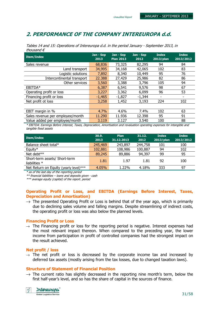### 2. PERFORMANCE OF THE COMPANY INTEREUROPA d.d.

| <b>Item/Index</b>                                                                                                                  | Jan - Sep<br>2013 | Jan - Sep<br><b>Plan 2013</b> | Jan - Sep<br>2012 | <b>Index</b><br>2013/plan | <b>Index</b><br>2013/2012 |  |
|------------------------------------------------------------------------------------------------------------------------------------|-------------------|-------------------------------|-------------------|---------------------------|---------------------------|--|
| Sales revenue                                                                                                                      | 68,836            | 73,325                        | 82,295            | 94                        | 84                        |  |
| Land transport                                                                                                                     | 34,995            | 34,168                        | 42,065            | 102                       | 83                        |  |
| Logistic solutions                                                                                                                 | 7,892             | 8,340                         | 10,449            | 95                        | 76                        |  |
| Intercontinental transport                                                                                                         | 22.388            | 27,429                        | 25,986            | 82                        | 86                        |  |
| Other services                                                                                                                     | 3,560             | 3,388                         | 3,796             | 105                       | 94                        |  |
| EBITDA*                                                                                                                            | 6,387             | 6,541                         | 9,576             | 98                        | 67                        |  |
| Operating profit or loss                                                                                                           | 3,227             | 3,362                         | 6,099             | 96                        | 53                        |  |
| Financing profit or loss                                                                                                           | $-1,465$          | $-1,827$                      | $-1,344$          |                           |                           |  |
| Net profit ot loss                                                                                                                 | 3,258             | 1,452                         | 3,193             | 224                       | 102                       |  |
|                                                                                                                                    |                   |                               |                   |                           |                           |  |
| EBIT margin in %                                                                                                                   | 4.7%              | 4.6%                          | 7.4%              | 102                       | 63                        |  |
| Sales revenue per employee/month                                                                                                   | 11.290            | 11.936                        | 12.398            | 95                        | 91                        |  |
| Value added per employee/month                                                                                                     | 3.119             | 3.127                         | 3.540             | 100                       | 88                        |  |
| * EDITOA: Espainas Defens Tateneet, Terres, Dennesiation, Aproximation and production committee conservation for internalising and |                   |                               |                   |                           |                           |  |

Tables 14 and 15: Operations of Intereuropa d.d. in the period January - September 2013, in thousand €

\* EBITDA: Earnings Before Interest, Taxes, Depreciation, Amortisation and revaluation operating expenses for intangible and tangible fixed assets

| <b>Item/Index</b>                                | 30.9.<br>2013 | Plan<br>31.12.2013 | 31.12.<br>2012 | <b>Index</b><br>2013/plan | <b>Index</b><br>2013/2012 |
|--------------------------------------------------|---------------|--------------------|----------------|---------------------------|---------------------------|
| Balance sheet total*                             | 245,469       | 243,897            | 244,758        | 101                       | 100                       |
| Equity*                                          | 102,881       | 108,986            | 100,887        | 94                        | 102                       |
| Net debt**                                       | 89,245        | 89,886             | 94,397         | 99                        | 95                        |
| Short-term assets/ Short-term<br>liabilities $*$ | 1.81          | 1.97               | 1.81           | 92                        | 100                       |
| Net Return on Equity (yearly level)***           | 4.05%         | 1.22%              | 4.18%          | 333                       | 97                        |

\* as of the last day of the reporting period

\*\* financial liabilities – loans and deposits given - cash

\*\*\* average equity (capital) of the report. period

### Operating Profit or Loss, and EBITDA (Earnings Before Interest, Taxes, Depreciation and Amortisation)

 $\rightarrow$  The presented Operating Profit or Loss is behind that of the year ago, which is primarily due to declining sales volume and falling margins. Despite streamlining of indirect costs, the operating profit or loss was also below the planned levels.

#### Financing Profit or Loss

 $\rightarrow$  The Financing profit or loss for the reporting period is negative. Interest expenses had the most relevant impact thereon. When compared to the preceding year, the lower income from participation in profit of controlled companies had the strongest impact on the result achieved.

#### Net profit / loss

 $\rightarrow$  The net profit or loss is decreased by the corporate income tax and increased by deferred tax assets (mostly arising from the tax losses, due to changed taxation laws).

### Structure of Statement of Financial Position

 $\rightarrow$  The current ratio has slightly decreased in the reporting nine month's term, below the first half-year's level, and so has the share of capital in the sources of finance.

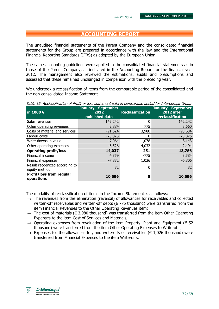### ACCOUNTING REPORT

The unaudited financial statements of the Parent Company and the consolidated financial statements for the Group are prepared in accordance with the law and the International Financial Reporting Standards (IFRS) as adopted by the European Union.

The same accounting guidelines were applied in the consolidated financial statements as in those of the Parent Company, as indicated in the Accounting Report for the financial year 2012. The management also reviewed the estimations, audits and presumptions and assessed that these remained unchanged in comparison with the preceding year.

We undertook a reclassification of items from the comparable period of the consolidated and the non-consolidated Income Statement.

Table 16: Reclassification of Profit or loss statement data in comparable period for Intereuropa Group

| in 1000 $\epsilon$                              | <b>January - September</b><br>2012<br>published data | <b>Reclassification</b> | <b>January - September</b><br><b>2012 after</b><br>reclassification |
|-------------------------------------------------|------------------------------------------------------|-------------------------|---------------------------------------------------------------------|
| Sales revenues                                  | 142,242                                              |                         | 142,242                                                             |
| Other operating revenues                        | 2,884                                                | 775                     | 3,660                                                               |
| Costs of material and services                  | $-91,624$                                            | 3,980                   | $-95,604$                                                           |
| Labour costs                                    | $-25,875$                                            | O                       | $-25,875$                                                           |
| Write-downs in value                            | $-7,064$                                             | 1,078                   | $-8,143$                                                            |
| Other operating expenses                        | $-6,526$                                             | $-4,032$                | $-2,494$                                                            |
| <b>Operating profit/loss</b>                    | 14,037                                               | 251                     | 13,786                                                              |
| Financial income                                | 4,359                                                | $-775$                  | 3,584                                                               |
| Financial expenses                              | $-7,832$                                             | 1,026                   | $-6,806$                                                            |
| Result recognized according to<br>equity method | 32                                                   | 0                       | 32                                                                  |
| <b>Profit/loss from regular</b><br>operations   | 10,596                                               | 0                       | 10,596                                                              |

The modality of re-classification of items in the Income Statement is as follows:

- $\rightarrow$  The revenues from the elimination (reversal) of allowances for receivables and collected written-off receivables and written-off debts (€ 775 thousand) were transferred from the item Financial Revenues to the Other Operating Revenues item;
- $\rightarrow$  The cost of materials ( $\in$  3,980 thousand) was transferred from the item Other Operating Expenses to the item Cost of Services and Materials,
- $\rightarrow$  Operating expenses from revaluation of the item Property, Plant and Equipment ( $\in$  52 thousand) were transferred from the item Other Operating Expenses to Write-offs,
- $\rightarrow$  Expenses for the allowances for, and write-offs of receivables ( $\in$  1,026 thousand) were transferred from Financial Expenses to the item Write-offs.

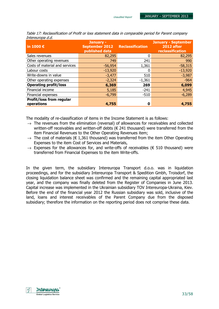| in 1000 $\epsilon$              | January -<br><b>September 2012 Reclassification</b><br>published data |          | <b>January - September</b><br>2012 after<br>reclassification |
|---------------------------------|-----------------------------------------------------------------------|----------|--------------------------------------------------------------|
| Sales revenues                  | 82,295                                                                |          | 82,295                                                       |
| Other operating revenues        | 749                                                                   | 241      | 990                                                          |
| Costs of material and services  | $-56,954$                                                             | 1,361    | $-58,315$                                                    |
| Labour costs                    | $-13,920$                                                             |          | $-13,920$                                                    |
| Write-downs in value            | $-3,477$                                                              | 510      | $-3,987$                                                     |
| Other operating expenses        | $-2,324$                                                              | $-1,361$ | $-964$                                                       |
| <b>Operating profit/loss</b>    | 6,369                                                                 | 269      | 6,099                                                        |
| Financial income                | 5,185                                                                 | $-241$   | 4,945                                                        |
| Financial expenses              | $-6,799$                                                              | $-510$   | $-6,289$                                                     |
| <b>Profit/loss from regular</b> |                                                                       |          |                                                              |
| operations                      | 4,755                                                                 | 0        | 4,755                                                        |

Table 17: Reclassification of Profit or loss statement data in comparable period for Parent company Intereuropa d.d.

The modality of re-classification of items in the Income Statement is as follows:

- $\rightarrow$  The revenues from the elimination (reversal) of allowances for receivables and collected written-off receivables and written-off debts (€ 241 thousand) were transferred from the item Financial Revenues to the Other Operating Revenues item;
- $\rightarrow$  The cost of materials ( $\in$  1,361 thousand) was transferred from the item Other Operating Expenses to the item Cost of Services and Materials,
- $\rightarrow$  Expenses for the allowances for, and write-offs of receivables ( $\epsilon$  510 thousand) were transferred from Financial Expenses to the item Write-offs.

In the given term, the subsidiary Intereuropa Transport d.o.o. was in liquidation proceedings, and for the subsidiary Intereuropa Transport & Spedition Gmbh, Troisdorf, the closing liquidation balance sheet was confirmed and the remaining capital appropriated last year, and the company was finally deleted from the Register of Companies in June 2013. Capital increase was implemented in the Ukrainian subsidiary TOV Intereuropa-Ukraina, Kiev. Before the end of the financial year 2012 the Russian subsidiary was sold, inclusive of the land, loans and interest receivables of the Parent Company due from the disposed subsidiary; therefore the information on the reporting period does not comprise these data.

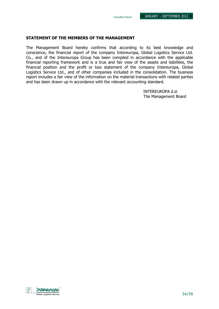### STATEMENT OF THE MEMBERS OF THE MANAGEMENT

The Management Board hereby confirms that according to its best knowledge and conscience, the financial report of the company Intereuropa, Global Logistics Service Ltd. Co., and of the Intereuropa Group has been compiled in accordance with the applicable financial reporting framework and is a true and fair view of the assets and liabilities, the financial position and the profit or loss statement of the company Intereuropa, Global Logistics Service Ltd., and of other companies included in the consolidation. The business report includes a fair view of the information on the material transactions with related parties and has been drawn up in accordance with the relevant accounting standard.

> INTEREUROPA d.d. The Management Board

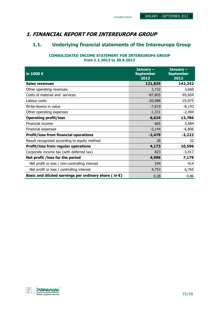### 1. FINANCIAL REPORT FOR INTEREUROPA GROUP

### 1.1. Underlying financial statements of the Intereuropa Group

### CONSOLIDATED INCOME STATEMENT FOR INTEREUROPA GROUP from 1.1.2013 to 30.9.2013

| in 1000 €                                                      | January $-$<br><b>September</b><br>2013 | January-<br><b>September</b><br>2012 |
|----------------------------------------------------------------|-----------------------------------------|--------------------------------------|
| <b>Sales revenues</b>                                          | 121,835                                 | 142,242                              |
| Other operating revenues                                       | 2,732                                   | 3,660                                |
| Costs of material and services                                 | $-87,805$                               | $-95,604$                            |
| Labour costs                                                   | $-20,988$                               | $-25,875$                            |
| Write-downs in value                                           | $-7,819$                                | $-8,143$                             |
| Other operating expenses                                       | $-1,331$                                | $-2,494$                             |
| <b>Operating profit/loss</b>                                   | 6,624                                   | 13,786                               |
| Financial income                                               | 665                                     | 3,584                                |
| Financial expenses                                             | $-3,144$                                | $-6,806$                             |
| <b>Profit/loss from financial operations</b>                   | $-2,479$                                | $-3,222$                             |
| Result recognized according to equity method                   | 28                                      | 32                                   |
| <b>Profit/loss from regular operations</b>                     | 4,173                                   | 10,596                               |
| Corporate income tax (with deferred tax)                       | 823                                     | $-3,417$                             |
| Net profit / loss for the period                               | 4,996                                   | 7,179                                |
| Net profit or loss / non-controlling interest                  | 244                                     | 414                                  |
| Net profit or loss / controlling interest                      | 4,753                                   | 6,765                                |
| Basic and diluted earnings per ordinary share (in $\epsilon$ ) | 0.28                                    | 0.86                                 |

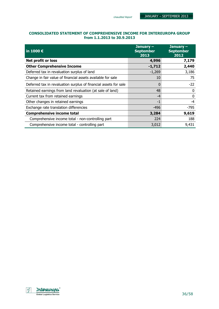### CONSOLIDATED STATEMENT OF COMPREHENSIVE INCOME FOR INTEREUROPA GROUP from 1.1.2013 to 30.9.2013

| in 1000 $\epsilon$                                               | January $-$<br><b>September</b><br>2013 | January -<br><b>September</b><br>2012 |
|------------------------------------------------------------------|-----------------------------------------|---------------------------------------|
| Net profit or loss                                               | 4,996                                   | 7,179                                 |
| <b>Other Comprehensive Income</b>                                | $-1,712$                                | 2,440                                 |
| Deferred tax in revaluation surplus of land                      | $-1,269$                                | 3,186                                 |
| Change in fair value of financial assets available for sale      | 10                                      | 75                                    |
| Deferred tax in revaluation surplus of financial assets for sale | $\Omega$                                | $-22$                                 |
| Retained earnings from land revaluation (at sale of land)        | 48                                      | 0                                     |
| Current tax from retained earnings                               | $-4$                                    | $\Omega$                              |
| Other changes in retained earnings                               | $-1$                                    | $-4$                                  |
| Exchange rate translation differencies                           | $-496$                                  | -795                                  |
| <b>Comprehensive income total</b>                                | 3,284                                   | 9,619                                 |
| Comprehensive income total - non-controlling part                | 224                                     | 188                                   |
| Comprehensive income total - controlling part                    | 3,012                                   | 9,431                                 |

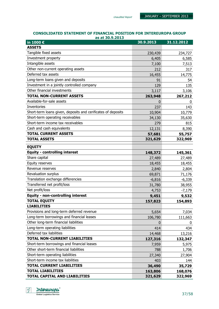#### CONSOLIDATED STATEMENT OF FINANCIAL POSITION FOR INTEREUROPA GROUP as at 30.9.2013

| in 1000 €                                                    | 30.9.2013 | 31.12.2012 |
|--------------------------------------------------------------|-----------|------------|
| <b>ASSETS</b>                                                |           |            |
| Tangible fixed assets                                        | 230,439   | 234,727    |
| Investment property                                          | 6,405     | 6,585      |
| Intangible assets                                            | 7,100     | 7,513      |
| Other non-current operating assets                           | 212       | 317        |
| Deferred tax assets                                          | 16,455    | 14,775     |
| Long-term loans given and deposits                           | 91        | 54         |
| Investment in a jointly controlled company                   | 129       | 135        |
| Other financial investments                                  | 3,117     | 3,106      |
| <b>TOTAL NON-CURRENT ASSETS</b>                              | 263,948   | 267,212    |
| Available-for-sale assets                                    | 0         | 0          |
| <b>Inventories</b>                                           | 237       | 143        |
| Short-term loans given, deposits and cerificates of deposits | 10,904    | 10,779     |
| Short-term operating receivables                             | 34,130    | 35,630     |
| Short-term income tax receivables                            | 279       | 815        |
| Cash and cash equivalents                                    | 12,131    | 8,390      |
| <b>TOTAL CURRENT ASSETS</b>                                  | 57,681    | 55,757     |
| <b>TOTAL ASSETS</b>                                          | 321,629   | 322,969    |
| <b>EQUITY</b>                                                |           |            |
| <b>Equity - controlling interest</b>                         | 148,372   | 145,361    |
| Share capital                                                | 27,489    | 27,489     |
| Equity reserves                                              | 18,455    | 18,455     |
| Revenue reserves                                             | 2,840     | 2,804      |
| Revaluation surplus                                          | 69,871    | 71,176     |
| Translation exchange differencies                            | $-6,816$  | $-6,339$   |
| Transferred net profit/loss                                  | 31,780    | 38,955     |
| Net profit/loss                                              | 4,753     | $-7,179$   |
| <b>Equity - non-controlling interest</b>                     | 9,451     | 9,532      |
| <b>TOTAL EQUITY</b>                                          | 157,823   | 154,893    |
| <b>LIABILITIES</b>                                           |           |            |
| Provisions and long-term deferred revenue                    | 5,654     | 7,034      |
| Long-term borrowings and financial leases                    | 106,780   | 111,663    |
| Other long-term financial liabilities                        | 0         | 0          |
| Long-term operating liabilities                              | 414       | 434        |
| Deferred tax liabilities                                     | 14,468    | 13,216     |
| <b>TOTAL NON-CURRENT LIABILITIES</b>                         | 127,316   | 132,347    |
| Short-term borrowings and financial leases                   | 7,959     | 5,975      |
| Other short-term financial liabilities                       | 788       | 1,706      |
| Short-term operating liabilities                             | 27,340    | 27,904     |
| Short-term income tax liabilities                            | 403       | 144        |
| <b>TOTAL CURRENT LIABILITIES</b>                             | 36,490    | 35,729     |
| <b>TOTAL LIABILITIES</b>                                     | 163,806   | 168,076    |
| TOTAL CAPITAL AND LIABILITIES                                | 321,629   | 322,969    |

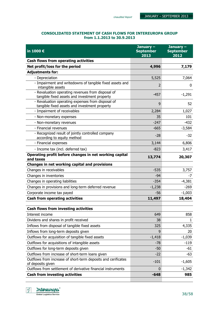### CONSOLIDATED STATEMENT OF CASH FLOWS FOR INTEREUROPA GROUP from 1.1.2013 to 30.9.2013

| in 1000 €                                                                                          | January-<br><b>September</b><br>2013 | January -<br><b>September</b><br>2012 |
|----------------------------------------------------------------------------------------------------|--------------------------------------|---------------------------------------|
| Cash flows from operating activities                                                               |                                      |                                       |
| Net profit/loss for the period                                                                     | 4,996                                | 7,179                                 |
| <b>Adjustments for:</b>                                                                            |                                      |                                       |
| - Depreciation                                                                                     | 5,525                                | 7,064                                 |
| - Impairment and writedowns of tangible fixed assets and<br>intangible assets                      | $\overline{2}$                       | 0                                     |
| - Revaluation operating revenues from disposal of<br>tangible fixed assets and investment property | $-457$                               | $-1,291$                              |
| - Revaluation operating expenses from disposal of<br>tangible fixed assets and investment property | 9                                    | 52                                    |
| - Impairment of receivables                                                                        | 2,284                                | 1,027                                 |
| - Non-monetary expenses                                                                            | 35                                   | 101                                   |
| - Non-monetary revenues                                                                            | $-247$                               | $-432$                                |
| - Financial revenues                                                                               | $-665$                               | $-3,584$                              |
| - Recognized result of jointly controlled company<br>according to equity method                    | $-28$                                | $-32$                                 |
| - Financial expenses                                                                               | 3,144                                | 6,806                                 |
| - Income tax (incl. deferred tax)                                                                  | $-823$                               | 3,417                                 |
| Operating profit before changes in net working capital<br>and taxes                                | 13,774                               | 20,307                                |
| Changes in net working capital and provisions                                                      |                                      |                                       |
| Changes in receivables                                                                             | $-535$                               | 3,757                                 |
| Changes in inventories                                                                             | $-94$                                | $-7$                                  |
| Changes in operating liabilities                                                                   | $-354$                               | $-4,381$                              |
| Changes in provisions and long-term deferred revenue                                               | $-1,238$                             | $-269$                                |
| Corporate income tax payed                                                                         | $-56$                                | $-1,003$                              |
| <b>Cash from operating activities</b>                                                              | 11,497                               | 18,404                                |
| <b>Cash flows from investing activities</b>                                                        |                                      |                                       |
| Interest income                                                                                    | 649                                  | 858                                   |
| Dividens and shares in profit received                                                             | 38                                   | 1.                                    |
| Inflows from disposal of tangible fixed assets                                                     | 325                                  | 4,335                                 |
| Inflows from long-term deposits given                                                              | 9                                    | 20                                    |
| Outflows for acquisition of tangible fixed assets                                                  | $-1,418$                             | $-1,039$                              |
| Outflows for acquisitions of intangible assets                                                     | $-78$                                | $-119$                                |
| Outflows for long-term deposits given                                                              | $-50$                                | $-61$                                 |
| Outflows from increase of short-term loans given                                                   | $-22$                                | $-63$                                 |
| Outflows from increase of short-term deposits and cerificates<br>of deposits given                 | $-101$                               | $-1,605$                              |
| Outflows from settlement of derivative financial instruments                                       | $\Omega$                             | $-1,342$                              |
| <b>Cash from investing activities</b>                                                              | $-648$                               | 985                                   |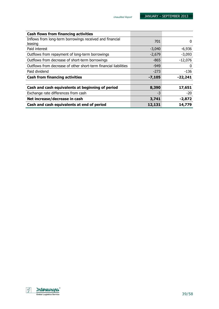| <b>Cash flows from financing activities</b>                         |          |           |
|---------------------------------------------------------------------|----------|-----------|
| Inflows from long-term borrowings received and financial<br>leasing | 701      | 0         |
| Paid interest                                                       | $-3,040$ | $-6,936$  |
| Outflows from repayment of long-term borrowings                     | $-2,679$ | $-3,093$  |
| Outflows from decrease of short-term borrowings                     | $-865$   | $-12,076$ |
| Outflows from decrease of other short-term financial liabilities    | $-949$   | 0         |
| Paid dividend                                                       | $-273$   | $-136$    |
| <b>Cash from financing activities</b>                               | $-7,105$ | $-22,241$ |
| Cash and cash equivalents at beginning of period                    | 8,390    | 17,651    |
| Exchange rate differences from cash                                 | -3       | $-20$     |
| Net increase/decrease in cash                                       | 3,741    | $-2,872$  |
| Cash and cash equivalents at end of period                          | 12,131   | 14,779    |

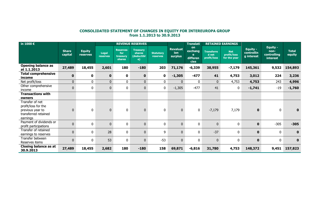## CONSOLIDATED STATEMENT OF CHANGES IN EQUITY FOR INTEREUROPA GROUP from 1.1.2013 to 30.9.2013

| in 1000 $\epsilon$                                                                             |                         |                           |                   |                                              | <b>REVENUE RESERVES</b>                                      |                              |                                   | <b>Translati</b>                              |                                           | <b>RETAINED EARNINGS</b>                  |                                             |                                                           |                        |
|------------------------------------------------------------------------------------------------|-------------------------|---------------------------|-------------------|----------------------------------------------|--------------------------------------------------------------|------------------------------|-----------------------------------|-----------------------------------------------|-------------------------------------------|-------------------------------------------|---------------------------------------------|-----------------------------------------------------------|------------------------|
|                                                                                                | <b>Share</b><br>capital | <b>Equity</b><br>reserves | Legal<br>reserves | <b>Reserves</b><br>for<br>treasury<br>shares | <b>Treasurv</b><br><b>shares</b><br>(deductibl<br>$\epsilon$ | <b>Statutory</b><br>reserves | <b>Revaluat</b><br>ion<br>surplus | on<br>exchang<br>e<br>differen<br><b>cies</b> | <b>Transferre</b><br>d net<br>profit/loss | <b>Net</b><br>profit/loss<br>for the year | <b>Equity -</b><br>controllin<br>g interest | <b>Equity -</b><br>non-<br>controlling<br><b>interest</b> | <b>Total</b><br>equity |
| <b>Opening balance as</b><br>at 1.1.2013                                                       | 27,489                  | 18,455                    | 2,601             | 180                                          | $-180$                                                       | 203                          | 71,176                            | $-6,339$                                      | 38,955                                    | $-7,179$                                  | 145,361                                     | 9,532                                                     | 154,893                |
| <b>Total comprehensive</b><br>income                                                           | $\mathbf 0$             | 0                         | $\mathbf{0}$      | $\mathbf 0$                                  | $\mathbf{0}$                                                 | $\mathbf 0$                  | $-1,305$                          | $-477$                                        | 41                                        | 4,753                                     | 3,012                                       | 224                                                       | 3,236                  |
| Net profit/loss                                                                                | $\mathbf{0}$            | $\mathbf{0}$              | $\mathbf{0}$      | $\mathbf{0}$                                 | $\mathbf{0}$                                                 | $\overline{0}$               | $\mathbf 0$                       | $\mathbf{0}$                                  | $\overline{0}$                            | 4,753                                     | 4,753                                       | 243                                                       | 4,996                  |
| Other comprehensive<br>income                                                                  | 0                       | $\mathbf{0}$              | $\mathbf{0}$      | $\mathbf{0}$                                 | $\mathbf 0$                                                  | 0                            | $-1,305$                          | $-477$                                        | 41                                        | $\bf{0}$                                  | $-1,741$                                    | $-19$                                                     | $-1,760$               |
| <b>Transactions with</b>                                                                       |                         |                           |                   |                                              |                                                              |                              |                                   |                                               |                                           |                                           |                                             |                                                           |                        |
| owners                                                                                         |                         |                           |                   |                                              |                                                              |                              |                                   |                                               |                                           |                                           |                                             |                                                           |                        |
| Transfer of net<br>profit/loss for the<br>previous year to<br>transferred retained<br>earnings | 0                       | $\mathbf{0}$              | $\bf{0}$          | $\mathbf{0}$                                 | $\mathbf 0$                                                  | 0                            | $\overline{0}$                    | 0                                             | $-7,179$                                  | 7,179                                     | $\mathbf{0}$                                | $\bf{0}$                                                  | 0                      |
| Payment of dividends or<br>profit participations                                               | $\pmb{0}$               | $\mathbf{0}$              | $\mathbf 0$       | $\mathbf{0}$                                 | $\pmb{0}$                                                    | 0                            | $\mathbf 0$                       | $\mathbf{0}$                                  | $\mathbf 0$                               | $\pmb{0}$                                 | $\mathbf 0$                                 | $-305$                                                    | $-305$                 |
| Transfer of retained<br>earnings to reserves                                                   | $\mathbf 0$             | $\mathbf{0}$              | 28                | $\mathbf{0}$                                 | $\mathbf 0$                                                  | 9                            | $\mathbf{0}$                      | $\mathbf{0}$                                  | $-37$                                     | 0                                         | $\mathbf{0}$                                | $\bf{0}$                                                  | $\mathbf 0$            |
| Transfer between<br>Reserves items                                                             | 0                       | $\mathbf{0}$              | 53                | $\mathbf{0}$                                 | $\mathbf{0}$                                                 | $-53$                        | $\Omega$                          | 0                                             | $\mathbf{0}$                              | 0                                         | $\mathbf{0}$                                | $\mathbf{0}$                                              | $\mathbf 0$            |
| Closing balance as at<br>30.9.2013                                                             | 27,489                  | 18,455                    | 2,682             | 180                                          | $-180$                                                       | 158                          | 69,871                            | -6,816                                        | 31,780                                    | 4,753                                     | 148,372                                     | 9,451                                                     | 157,823                |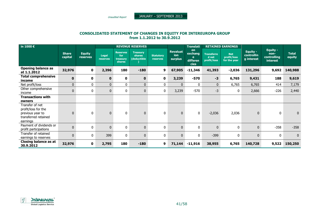Unaudited Report

JANUARY – SEPTEMBER <sup>2013</sup>

## CONSOLIDATED STATEMENT OF CHANGES IN EQUITY FOR INTEREUROPA GROUP from 1.1.2012 to 30.9.2012

| in 1000 $\epsilon$                                                                             |                         |                           |                   | <b>REVENUE RESERVES</b>                      |                                          |                              |                                          | <b>RETAINED EARNINGS</b><br><b>Translati</b>         |                                           |                                           |                                             |                                                           |                        |
|------------------------------------------------------------------------------------------------|-------------------------|---------------------------|-------------------|----------------------------------------------|------------------------------------------|------------------------------|------------------------------------------|------------------------------------------------------|-------------------------------------------|-------------------------------------------|---------------------------------------------|-----------------------------------------------------------|------------------------|
|                                                                                                | <b>Share</b><br>capital | <b>Equity</b><br>reserves | Legal<br>reserves | <b>Reserves</b><br>for<br>treasurv<br>shares | <b>Treasury</b><br>shares<br>(deductible | <b>Statutory</b><br>reserves | <b>Revaluat</b><br>ion<br><b>surplus</b> | <b>on</b><br>exchang<br>e<br>differen<br><b>cies</b> | <b>Transferre</b><br>d net<br>profit/loss | <b>Net</b><br>profit/loss<br>for the year | <b>Equity -</b><br>controllin<br>g interest | <b>Equity -</b><br>non-<br>controlling<br><b>interest</b> | <b>Total</b><br>equity |
| <b>Opening balance as</b><br>at 1.1.2012                                                       | 32,976                  | $\mathbf 0$               | 2,396             | 180                                          | $-180$                                   | 9                            | 67,905                                   | $-11,346$                                            | 41,393                                    | $-2,036$                                  | 131,296                                     | 9,692                                                     | 140,988                |
| <b>Total comprehensive</b><br>income                                                           | $\pmb{0}$               | 0                         | $\mathbf 0$       | $\mathbf 0$                                  | $\mathbf{0}$                             | 0                            | 3,239                                    | -570                                                 | $-3$                                      | 6,765                                     | 9,431                                       | 188                                                       | 9,619                  |
| Net profit/loss                                                                                | $\mathbf{0}$            | $\mathbf{0}$              | $\overline{0}$    | 0                                            | $\overline{0}$                           | 0                            | $\mathbf{0}$                             | $\Omega$                                             | $\overline{0}$                            | 6,765                                     | 6,765                                       | 414                                                       | 7,179                  |
| Other comprehensive<br>income                                                                  | $\mathbf 0$             | 0                         | $\mathbf 0$       | 0                                            | 0                                        | 0                            | 3,239                                    | $-570$                                               | -3                                        | 0                                         | 2,666                                       | $-226$                                                    | 2,440                  |
| <b>Transactions with</b><br>owners                                                             |                         |                           |                   |                                              |                                          |                              |                                          |                                                      |                                           |                                           |                                             |                                                           |                        |
| Transfer of net<br>profit/loss for the<br>previous year to<br>transferred retained<br>earnings | $\mathbf{0}$            | 0                         | $\mathbf{0}$      | 0                                            | 0                                        | $\mathbf 0$                  | $\mathbf{0}$                             | 0                                                    | $-2,036$                                  | 2,036                                     | $\mathbf{0}$                                | $\mathbf 0$                                               | $\mathbf 0$            |
| Payment of dividends or<br>profit participations                                               | $\pmb{0}$               | 0                         | $\mathbf 0$       | 0                                            | 0                                        | $\bf{0}$                     | $\mathbf{0}$                             | $\mathbf{0}$                                         | $\mathbf 0$                               | $\pmb{0}$                                 | $\mathbf 0$                                 | $-358$                                                    | $-358$                 |
| Transfer of retained<br>earnings to reserves                                                   | $\pmb{0}$               | 0                         | 399               | 0                                            | 0                                        | 0                            | $\mathbf{0}$                             | 0                                                    | $-399$                                    | 0                                         | $\mathbf 0$                                 | $\mathbf 0$                                               | $\mathbf{0}$           |
| <b>Closing balance as at</b><br>30.9.2012                                                      | 32,976                  | 0                         | 2,795             | 180                                          | $-180$                                   | 9                            | 71,144                                   | $-11,916$                                            | 38,955                                    | 6,765                                     | 140,728                                     | 9,522                                                     | 150,250                |

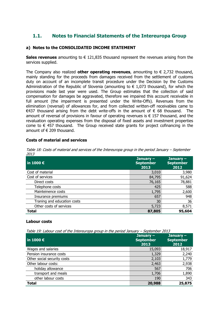### 1.1. Notes to Financial Statements of the Intereuropa Group

### a) Notes to the CONSOLIDATED INCOME STATEMENT

Sales revenues amounting to  $\in$  121,835 thousand represent the revenues arising from the services supplied.

The Company also realized **other operating revenues**, amounting to  $\epsilon$  2,732 thousand, mainly standing for the proceeds from damages received from the settlement of customs duty on account of an incomplete transit procedure under the Decision by the Customs Administration of the Republic of Slovenia (amounting to  $\epsilon$  1,073 thousand), for which the provisions made last year were used. The Group estimates that the collection of said compensation for damages be aggravated, therefore we impaired this account receivable in full amount (the impairment is presented under the Write-Offs). Revenues from the elimination (reversal) of allowances for, and from collected written-off receivables came to  $€437$  thousand arising from the debt write-offs in the amount of  $€ 68$  thousand. The amount of reversal of provisions in favour of operating revenues is € 157 thousand, and the revaluation operating expenses from the disposal of fixed assets and investment properties come to  $\epsilon$  457 thousand. The Group received state grants for project cofinancing in the amount of  $\epsilon$  209 thousand.

### Costs of material and services

| $\vert$ in 1000 $\bm{\epsilon}$ | January $-$<br><b>September</b><br>2013 | January $-$<br><b>September</b><br>2012 |
|---------------------------------|-----------------------------------------|-----------------------------------------|
| Cost of material                | 3,010                                   | 3,980                                   |
| Cost of services                | 84,795                                  | 91,624                                  |
| Direct costs                    | 76,165                                  | 78,881                                  |
| Telephone costs                 | 425                                     | 588                                     |
| Mainteinence costs              | 1,795                                   | 2,600                                   |
| Insurance premiums              | 657                                     | 948                                     |
| Traning and education costs     | 30                                      | 36                                      |
| Other costs of services         | 5,723                                   | 8,571                                   |
| <b>Total</b>                    | 87,805                                  | 95,604                                  |

Table 18: Costs of material and services of the Intereuropa group in the period January – September 2013

### Labour costs

Table 19: Labour cost of the Intereuropa group in the period January – September 2013

| in 1000 $\epsilon$          | January $-$<br><b>September</b><br>2013 | January $-$<br><b>September</b><br>2012 |
|-----------------------------|-----------------------------------------|-----------------------------------------|
| Wages and salaries          | 15,093                                  | 18,917                                  |
| Pension insurance costs     | 1,329                                   | 2,240                                   |
| Other social security costs | 2,103                                   | 1,779                                   |
| Other labour costs:         | 2,463                                   | 2,938                                   |
| holiday allowance           | 567                                     | 706                                     |
| transport and meals         | 1,706                                   | 1,890                                   |
| other labour costs          | 190                                     | 343                                     |
| <b>Total</b>                | 20,988                                  | 25,875                                  |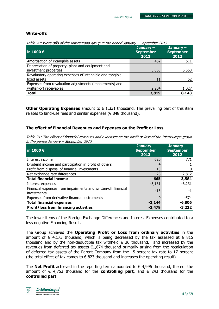### Write-offs

Table 20: Write-offs of the Intereuropa group in the period January – September 2013

| $\vert$ in 1000 $\bm{\epsilon}$                           | January $-$<br><b>September</b><br>2013 | January $-$<br><b>September</b><br>2012 |
|-----------------------------------------------------------|-----------------------------------------|-----------------------------------------|
| Amortisation of intangible assets                         | 462                                     | 511                                     |
| Depreciation of property, plant and equipment and         |                                         |                                         |
| investment properties                                     | 5,063                                   | 6,553                                   |
| Revaluatory operating expenses of intangible and tangible |                                         |                                         |
| fixed assets                                              | 11                                      | 52                                      |
| Expenses from revaluation adjustments (impairments) and   |                                         |                                         |
| written-off receivables                                   | 2,284                                   | 1,027                                   |
| <b>Total</b>                                              | 7,819                                   | 8,143                                   |

**Other Operating Expenses** amount to  $\epsilon$  1,331 thousand. The prevailing part of this item relates to land-use fees and similar expenses (€ 848 thousand).

### The effect of Financial Revenues and Expenses on the Profit or Loss

Table 21: The effect of financial revenues and expenses on the profit or loss of the Intereuropa group in the period January – September 2013

| in 1000 $\epsilon$                                                           | January $-$<br><b>September</b><br>2013 | January $-$<br><b>September</b><br>2012 |
|------------------------------------------------------------------------------|-----------------------------------------|-----------------------------------------|
| Interest income                                                              | 620                                     | 771                                     |
| Dividend income and participation in profit of others                        | 4                                       |                                         |
| Profit from disposal of financial investments                                | 13                                      | 0                                       |
| Net exchange rate differences                                                | 28                                      | 2,812                                   |
| <b>Total financial income</b>                                                | 665                                     | 3,584                                   |
| Interest expenses                                                            | $-3,131$                                | $-6,231$                                |
| Financial expenses from impairments and written-off financial<br>investments | $-13$                                   | -1                                      |
| Expenses from derivative financial instruments                               | ŋ                                       | $-574$                                  |
| <b>Total financial expenses</b>                                              | $-3,144$                                | $-6,806$                                |
| <b>Profit/loss from financing activities</b>                                 | $-2,479$                                | $-3,222$                                |

The lower items of the Foreign Exchange Differences and Interest Expenses contributed to a less negative Financing Result.

The Group achieved the Operating Profit or Loss from ordinary activities in the amount of  $\epsilon$  4.173 thousand, which is being decreased by the tax assessed at  $\epsilon$  815 thousand and by the non-deductible tax withheld  $\epsilon$  36 thousand, and increased by the revenues from deferred tax assets €1,674 thousand primarily arising from the recalculation of deferred tax assets of the Parent Company from the 15-percent tax rate to 17 percent (the total effect of tax comes to  $\epsilon$  823 thousand and increases the operating result).

The **Net Profit** achieved in the reporting term amounted to  $\in$  4,996 thousand, thereof the amount of  $\epsilon$  4,753 thousand for the **controlling part,** and  $\epsilon$  243 thousand for the controlled part.

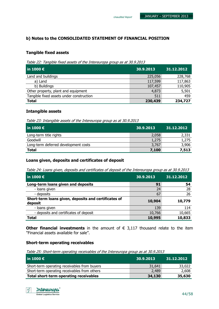### b) Notes to the CONSOLIDATED STATEMENT OF FINANCIAL POSITION

### Tangible fixed assets

Table 22: Tangible fixed assets of the Intereuropa group as at 30.9.2013

| $\overline{\phantom{0}}$ in 1000 $\overline{\epsilon}$ | 30.9.2013 | 31.12.2012 |
|--------------------------------------------------------|-----------|------------|
| Land and buildings                                     | 225,056   | 228,768    |
| a) Land                                                | 117,599   | 117,863    |
| b) Buildings                                           | 107,457   | 110,905    |
| Other property, plant and equipment                    | 4,873     | 5,501      |
| Tangible fixed assets under construction               | 511       | 459        |
| <b>Total</b>                                           | 230,439   | 234,727    |

### Intangible assets

Table 23: Intangible assets of the Intereuropa group as at 30.9.2013

| $\vert$ in 1000 $\bm{\epsilon}$      | 30.9.2013 | 31.12.2012 |
|--------------------------------------|-----------|------------|
| Long-term title rights               | 2,058     | 2,331      |
| Goodwill                             | 1,275     | 1,275      |
| Long-term deferred development costs | 3,767     | 3,906      |
| <b>Total</b>                         | 7,100     | 7,513      |

### Loans given, deposits and certificates of deposit

Table 24: Loans given, deposits and certificates of deposit of the Intereuropa group as at 30.9.2013

| $\vert$ in 1000 $\bm{\epsilon}$                                 | 30.9.2013 | 31.12.2012 |
|-----------------------------------------------------------------|-----------|------------|
| Long-term loans given and deposits                              | 91        | 54         |
| - loans given                                                   | 24        | 28         |
| - deposits                                                      | 67        | 26         |
| Short-term loans given, deposits and certificates of<br>deposit | 10,904    | 10,779     |
| - loans given                                                   | 139       | 114        |
| - deposits and certificates of deposit                          | 10,766    | 10,665     |
| <b>Total</b>                                                    | 10,995    | 10,833     |

Other financial investments in the amount of  $\epsilon$  3,117 thousand relate to the item ''Financial assets available for sale''.

### Short-term operating receivables

Table 25: Short-term operating receivables of the Intereuropa group as at 30.9.2013

| l in 1000 €                                   | 30.9.2013 | 31.12.2012 |
|-----------------------------------------------|-----------|------------|
| Short-term operating receivables from buyers  | 31,641    | 33,022     |
| Short-term operating receivables from others  | 2,489     | 2,608      |
| <b>Total short-term operating receivables</b> | 34,130    | 35,630     |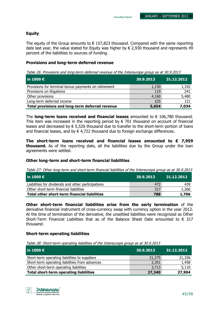### Equity

The equity of the Group amounts to  $\epsilon$  157,823 thousand. Compared with the same reporting date last year, the value stated for Equity was higher by  $\epsilon$  2,930 thousand and represents 49 percent of the liabilities to sources of funding.

### Provisions and long-term deferred revenue

Table 26: Provisions and long-term deferred revenue of the Intereuropa group as at 30.9.2013

| $ $ in 1000 €                                        | 30.9.2013 | 31.12.2012 |
|------------------------------------------------------|-----------|------------|
| Provisions for terminal bonus payments on retirement | 1,150     | 1,192      |
| Provisions on litigations                            | 119       | 241        |
| Other provisions                                     | 4,160     | 5,480      |
| Long-term deferred income                            | 225       | 121        |
| Total provisions and long-term deferred revenue      | 5,654     | 7,034      |

The long-term loans received and financial leases amounted to  $\epsilon$  106,780 thousand. This item was increased in the reporting period by  $\epsilon$  701 thousand on account of financial leases and decreased by  $\epsilon$  5,526 thousand due to transfer to the short-term portion of loans and financial leases, and by  $\epsilon$  4,722 thousand due to foreign exchange differences.

The short-term loans received and financial leases amounted to  $\epsilon$  7,959 thousand. As of the reporting date, all the liabilities due by the Group under the loan agreements were settled.

### Other long-term and short-term financial liabilities

Table 27: Other long-term and short-term financial liabilities of the Intereuropa group as at 30.9.2013

| l in 1000 €                                        | 30.9.2013 | 31.12.2012 |
|----------------------------------------------------|-----------|------------|
| Liabilities for dividends and other participations | 472       | 439        |
| Other short-term financial liabilities             | 317       | 1,266      |
| Total other short-term financial liabilities       | 788       | 1,706      |

Other short-term financial liabilities arise from the early termination of the derivative financial instrument of cross-currency swap with currency option in the year 2012. At the time of termination of the derivative, the unsettled liabilities were recognized as Other Short-Term Financial Liabilities that as of the Balance Sheet Date amounted to  $\in$  317 thousand.

### Short-term operating liabilities

Table 28: Short-term operating liabilities of the Intereuropa group as at 30.9.2013

| in 1000 $\epsilon$                             | 30.9.2013 | 31.12.2012 |
|------------------------------------------------|-----------|------------|
| Short-term operating liabilities to suppliers  | 21,275    | 21,336     |
| Short-term operating liabilities from advances | 2,351     | 1,458      |
| Other short-term operating liabilities         | 3,713     | 5,110      |
| <b>Total short-term operating liabilities</b>  | 27,340    | 27,904     |

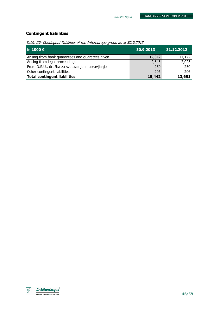### Contingent liabilities

Table 29: Contingent liabilities of the Intereuropa group as at 30.9.2013

| $\ln 1000 \in$                                   | 30.9.2013 | 31.12.2012 |
|--------------------------------------------------|-----------|------------|
| Arising from bank guarantees and guaratees given | 12,342    | 11,172     |
| Arising from legal proceedings                   | 2,645     | 2,023      |
| From D.S.U., družba za svetovanje in upravljanje | 250       | 250        |
| Other contingent liabilities                     | 206       | 206        |
| <b>Total contingent liabilities</b>              | 15,442    | 13,651     |

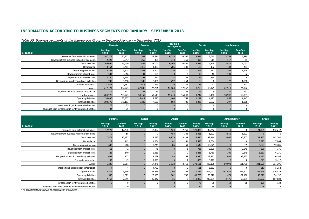### INFORMATION ACCORDING TO BUSINESS SEGMENTS FOR JANUARY - SEPTEMBER 2013

|                                                         | <b>Slovenia</b> |                 |                 |                 | <b>Croatia</b>  |                 | <b>Bosnia &amp;</b><br><b>Herzegovina</b> |                 | <b>Serbia</b>   |                 | <b>Montenegro</b> |  |
|---------------------------------------------------------|-----------------|-----------------|-----------------|-----------------|-----------------|-----------------|-------------------------------------------|-----------------|-----------------|-----------------|-------------------|--|
| in 1000 €                                               | Jan-Sep<br>2013 | Jan-Sep<br>2012 | Jan-Sep<br>2013 | Jan-Sep<br>2012 | Jan-Sep<br>2013 | Jan-Sep<br>2012 | Jan-Sep<br>2013                           | Jan-Sep<br>2012 | Jan-Sep<br>2013 | Jan-Sep<br>2012 |                   |  |
| Revenues from external customers                        | 67,273          | 80,253          | 21,549          | 23,621          | 4,255           | 4,506           | 2,492                                     | 2,610           | 3,759           | 3,990           |                   |  |
| Revenues from business with other segments              | 2,223           | 3,347           | 255             | 485             | 310             | 350             | 496                                       | 519             | 117             | 61              |                   |  |
| Total revenues                                          | 69,496          | 83,600          | 21,803          | 24,106          | 4,565           | 4,856           | 2,988                                     | 3,128           | 3,876           | 4,051           |                   |  |
| Depreciation                                            | 3,154           | 3,483           | 1,315           | 1,469           | 286             | 300             | 180                                       | 182             | 434             | 453             |                   |  |
| Operating profit or loss                                | 3,337           | 5,825           | 1,567           | 2,507           | 324             | 310             | 367                                       | 392             | 362             | 1,266           |                   |  |
| Revenues from interest rates                            | 501             | 3,016           | 91              | 155             | $\overline{0}$  | 2               | 10                                        | 18              | 109             | 82              |                   |  |
| Expenses from interest rates                            | 2,780           | 5,768           | 147             | 277             | 32 <sup>2</sup> | 58              | 152                                       | 184             |                 |                 |                   |  |
| Net profit or loss from ordinary activities             | 1,903           | 4,458           | 1,540           | 2,426           | 292             | 254             | 188                                       | $-36$           | 472             | 1,348           |                   |  |
| Corporate income tax                                    | $-1,473$        | 1,582           | 418             | 543             | 29              | 26              | 23                                        | -1              | 71              | 123             |                   |  |
| Assets                                                  | 247,421         | 302,773         | 67,006          | 72,201          | 17,060          | 17,352          | 10,253                                    | 10,175          | 22,510          | 24,322          |                   |  |
| Tangible fixed assets under construction                | 19              | 101             | 87              | 89              | 52              | 66              | 19                                        | 9               | 330             | 293             |                   |  |
| Long-term assets                                        | 204,927         | 239,723         | 58,159          | 60,618          | 15,740          | 16,090          | 9,247                                     | 9,148           | 18,597          | 19,053          |                   |  |
| Operating liabilities                                   | 36,496          | 33,857          | 6,812           | 9,620           | 1,666           | 1,759           | 1,297                                     | 1,493           | 955             | 1,143           |                   |  |
| <b>Financial liabilities</b>                            | 108,370         | 178,163         | 5,209           | 7,538           | 504             | 789             | 2,325                                     | 2,502           | 397             | 1,266           |                   |  |
| Investment in jointly controlled entities               | 75              | 75              | $\Omega$        | $\Omega$        | $\overline{0}$  | $\Omega$        | $\Omega$                                  |                 |                 |                 |                   |  |
| Revenues from investment in jointly controlled entities | 34              | 35              | $\Omega$        | $\Omega$        | $\overline{0}$  | $\Omega$        |                                           |                 |                 |                 |                   |  |

#### Table 30: Business segments of the Intereuropa Group in the period January – September 2013

|                                                         | <b>Ukraine</b>  |                 | <b>Russia</b>   |                 | <b>Others</b>   |                 | <b>Total</b>    |                 | Adjustments*    |                 | <b>Group</b>    |                 |
|---------------------------------------------------------|-----------------|-----------------|-----------------|-----------------|-----------------|-----------------|-----------------|-----------------|-----------------|-----------------|-----------------|-----------------|
| in 1000 €                                               | Jan-Sep<br>2013 | Jan-Sep<br>2012 | Jan-Sep<br>2013 | Jan-Sep<br>2012 | Jan-Sep<br>2013 | Jan-Sep<br>2012 | Jan-Sep<br>2013 | Jan-Sep<br>2012 | Jan-Sep<br>2013 | Jan-Sep<br>2012 | Jan-Sep<br>2013 | Jan-Sep<br>2012 |
| Revenues from external customers                        | 17,973          | 12,430          |                 | 12,082          | 4,524           | 2,751           | 121,825         | 142,242         | 10 <sup>1</sup> | 0               | 121,835         | 142,242         |
| Revenues from business with other segments              |                 | 58              |                 |                 | 454             | 382             | 3,855           | 5,202           | $-3,855$        | $-5,202$        | $\Omega$        |                 |
| Total revenues                                          | 17,973          | 12,487          |                 | 12,083          | 4,979           | 3,134           | 125,680         | 147,444         | $-3,846$        | $-5,202$        | 121,835         | 142,242         |
| Depreciation                                            | 112             | 112             |                 | 1,004           | 42              | 61              | 5,525           | 7,064           |                 |                 | 5,525           | 7,064           |
| Operating profit or loss                                | 600             | 268             |                 | 3,245           | 85              | 59              | 6,642           | 13,871          | $-18$           | -85             | 6,624           | 13,786          |
| Revenues from interest rates                            | 11              | $\overline{2}$  |                 | 45              |                 |                 | 725             | 3,320           | $-105$          | $-2,549$        | 620             | 771             |
| Expenses from interest rates                            | 125             | 140             |                 | 2,353           |                 | -0              | 3,236           | 8,780           | $-105$          | $-2,549$        | 3,131           | 6,231           |
| Net profit or loss from ordinary activities             | 497             | 173             |                 | 4,039           | 88              | 59              | 4,980           | 12,721          | $-807$          | $-2,125$        | 4,173           | 10,596          |
| Corporate income tax                                    | 102             | 49              |                 | 1,090           |                 | 4               | $-823$          | 3,417           |                 |                 | $-823$          | 3,417           |
| Assets                                                  | 5,238           | 6,251           |                 | 57,371          | 3,132           | 2,750           | 372,621         | 493,195         | $-50,992$       | $-101,799$      | 321,629         | 391,395         |
| Tangible fixed assets under construction                |                 | 4               |                 | 4,790           |                 |                 | 511             | 5,352           |                 |                 | 511             | 5,352           |
| Long-term assets                                        | 3,571           | 4,344           |                 | 53,938          | 1,144           | 1,163           | 311,384         | 404,077         | $-47,436$       | $-79,503$       | 263,948         | 324,574         |
| Operating liabilities                                   | 1,545           | 1,672           |                 | 26,085          | 982             | 700             | 49,753          | 76,328          | $-1,474$        | $-22,190$       | 48,279          | 54,137          |
| <b>Financial liabilities</b>                            | 2,163           | 2,655           |                 | 45,047          | 35              | $\Omega$        | 119,002         | 237,959         | $-3,475$        | $-50,951$       | 115,527         | 187,008         |
| Investment in jointly controlled entities               |                 | $\mathbf 0$     |                 | <sup>0</sup>    |                 |                 | 75              | 75              | 54              | 58              | 129             | 133             |
| Revenues from investment in jointly controlled entities |                 | $\Omega$        |                 | <sup>0</sup>    |                 | O               | 34              | 35              | $-6$            | $-3$            | 28              | 32              |

\* All adjustments are subject to consolidation procedures.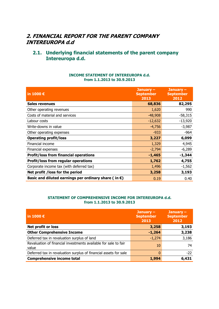### 2. FINANCIAL REPORT FOR THE PARENT COMPANY INTEREUROPA d.d

### 2.1. Underlying financial statements of the parent company Intereuropa d.d.

| in 1000 €                                                      | January $-$<br><b>September</b><br>2013 | January $-$<br><b>September</b><br>2012 |
|----------------------------------------------------------------|-----------------------------------------|-----------------------------------------|
| Sales revenues                                                 | 68,836                                  | 82,295                                  |
| Other operating revenues                                       | 1,620                                   | 990                                     |
| Costs of material and services                                 | $-48,908$                               | $-58,315$                               |
| Labour costs                                                   | $-12,632$                               | $-13,920$                               |
| Write-downs in value                                           | $-4,756$                                | $-3,987$                                |
| Other operating expenses                                       | $-933$                                  | $-964$                                  |
| <b>Operating profit/loss</b>                                   | 3,227                                   | 6,099                                   |
| Financial income                                               | 1,329                                   | 4,945                                   |
| Financial expenses                                             | $-2,794$                                | $-6,289$                                |
| <b>Profit/loss from financial operations</b>                   | $-1,465$                                | $-1,344$                                |
| <b>Profit/loss from regular operations</b>                     | 1,762                                   | 4,755                                   |
| Corporate income tax (with deferred tax)                       | 1,496                                   | $-1,562$                                |
| Net profit / loss for the period                               | 3,258                                   | 3,193                                   |
| Basic and diluted earnings per ordinary share (in $\epsilon$ ) | 0.19                                    | 0.40                                    |

### INCOME STATEMENT OF INTEREUROPA d.d. from 1.1.2013 to 30.9.2013

### STATEMENT OF COMPREHENSIVE INCOME FOR INTEREUROPA d.d. from 1.1.2013 to 30.9.2013

| in 1000 $\epsilon$                                                       | January $-$<br><b>September</b><br>2013 | January $-$<br><b>September</b><br>2012 |
|--------------------------------------------------------------------------|-----------------------------------------|-----------------------------------------|
| <b>Net profit or loss</b>                                                | 3,258                                   | 3,193                                   |
| <b>Other Comprehensive Income</b>                                        | $-1,264$                                | 3,238                                   |
| Deferred tax in revaluation surplus of land                              | $-1,274$                                | 3,186                                   |
| Revaluation of financial investments available for sale to fair<br>value | 10                                      | 74                                      |
| Deferred tax in revaluation surplus of financial assets for sale         |                                         | $-22$                                   |
| <b>Comprehensive income total</b>                                        | 1,994                                   | 6,431                                   |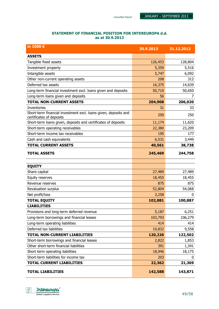### STATEMENT OF FINANCIAL POSITION FOR INTEREUROPA d.d. as at 30.9.2013

| in 1000 €                                                                                   | 30.9.2013 | 31.12.2012 |
|---------------------------------------------------------------------------------------------|-----------|------------|
| <b>ASSETS</b>                                                                               |           |            |
| Tangible fixed assets                                                                       | 126,453   | 128,804    |
| Investment property                                                                         | 5,359     | 5,516      |
| Intangible assets                                                                           | 5,747     | 6,092      |
| Other non-current operating assets                                                          | 208       | 312        |
| Deferred tax assets                                                                         | 16,375    | 14,639     |
| Long-term financial investment excl. loans given and deposits                               | 50,710    | 50,650     |
| Long-term loans given and deposits                                                          | 56        | 7          |
| <b>TOTAL NON-CURRENT ASSETS</b>                                                             | 204,908   | 206,020    |
| Inventories                                                                                 | 31        | 33         |
| Short-term financial investment excl. loans given, deposits and<br>certificates of deposits | 250       | 250        |
| Short-term loans given, deposits and certificates of deposits                               | 11,174    | 11,620     |
| Short-term operating receivables                                                            | 22,380    | 23,209     |
| Short-term income tax receivables                                                           | 195       | 177        |
| Cash and cash equivalents                                                                   | 6,531     | 3,449      |
| <b>TOTAL CURRENT ASSETS</b>                                                                 | 40,561    | 38,738     |
| <b>TOTAL ASSETS</b>                                                                         | 245,469   | 244,758    |
| <b>EQUITY</b>                                                                               |           |            |
| Share capital                                                                               | 27,489    | 27,489     |
| Equity reserves                                                                             | 18,455    | 18,455     |
| Revenue reserves                                                                            | 875       | 875        |
| Revaluation surplus                                                                         | 52,804    | 54,068     |
| Net profit/loss                                                                             | 3,258     | 0          |
| <b>TOTAL EQUITY</b>                                                                         | 102,881   | 100,887    |
| <b>LIABILITIES</b>                                                                          |           |            |
| Provisions and long-term deferred revenue                                                   | 5,187     | 6,251      |
| Long-term borrowings and financial leases                                                   | 103,793   | 106,279    |
| Long-term operating liabilities                                                             | 414       | 414        |
| Deferred tax liabilities                                                                    | 10,832    | 9,558      |
| <b>TOTAL NON-CURRENT LIABILITIES</b>                                                        | 120,226   | 122,502    |
| Short-term borrowings and financial leases                                                  | 2,822     | 1,853      |
| Other short-term financial liabilities                                                      | 391       | 1,341      |
| Short term operating liabilities                                                            | 18,946    | 18,175     |
| Short-term liabilities for income tax                                                       | 203       | U          |
| <b>TOTAL CURRENT LIABILITIES</b>                                                            | 22,362    | 21,369     |
| <b>TOTAL LIABILITIES</b>                                                                    | 142,588   | 143,871    |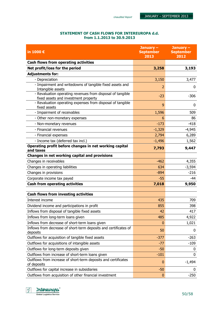### STATEMENT OF CASH FLOWS FOR INTEREUROPA d.d. from 1.1.2013 to 30.9.2013

| in 1000€                                                                                           | January $-$<br><b>September</b><br>2013 | January -<br><b>September</b><br>2012 |
|----------------------------------------------------------------------------------------------------|-----------------------------------------|---------------------------------------|
| <b>Cash flows from operating activities</b>                                                        |                                         |                                       |
| Net profit/loss for the period                                                                     | 3,258                                   | 3,193                                 |
| <b>Adjustments for:</b>                                                                            |                                         |                                       |
| - Depreciation                                                                                     | 3,150                                   | 3,477                                 |
| - Impairment and writedowns of tangible fixed assets and<br>Intangible assets                      | 2                                       | 0                                     |
| - Revaluation operating revenues from disposal of tangible<br>fixed assets and investment property | $-23$                                   | $-306$                                |
| - Revaluation operating expenses from disposal of tangible<br>fixed assets                         | 9                                       | $\mathbf{0}$                          |
| - Impairment of receivables                                                                        | 1,596                                   | 509                                   |
| - Other non-monetary expenses                                                                      | 6                                       | 86                                    |
| - Non-monetary revenues                                                                            | $-173$                                  | $-418$                                |
| - Financial revenues                                                                               | $-1,329$                                | $-4,945$                              |
| - Financial expenses                                                                               | 2,794                                   | 6,289                                 |
| - Income tax (deferred tax incl.)                                                                  | $-1,496$                                | 1,562                                 |
| Operating profit before changes in net working capital<br>and taxes                                | 7,793                                   | 9,447                                 |
| Changes in net working capital and provisions                                                      |                                         |                                       |
| Changes in receivables                                                                             | $-462$                                  | 4,355                                 |
| Changes in operating liabilities                                                                   | 634                                     | $-3,594$                              |
| Changes in provisions                                                                              | $-894$                                  | $-216$                                |
| Corporate income tax payed                                                                         | $-55$                                   | -44                                   |
| <b>Cash from operating activities</b>                                                              | 7,018                                   | 9,950                                 |
| <b>Cash flows from investing activities</b>                                                        |                                         |                                       |
| Interest income                                                                                    | 435                                     | 709                                   |
| Dividend income and participations in profit                                                       | 855                                     | 398                                   |
| Inflows from disposal of tangible fixed assets                                                     | 42                                      | 417                                   |
| Inflows from long-term loans given                                                                 | 485                                     | 4,922                                 |
| Inflows from decrease of short-term loans given                                                    | $\mathbf{0}$                            | 1,021                                 |
| Inflows from decrease of short-term deposits and certificates of<br>deposits                       | 50                                      | 0                                     |
| Outflows for acquisition of tangible fixed assets                                                  | $-377$                                  | $-263$                                |
| Outflows for acquisitions of intangible assets                                                     | $-77$                                   | $-109$                                |
| Outflows for long-term deposits given                                                              | $-50$                                   | 0                                     |
| Outflows from increase of short-term loans given                                                   | $-101$                                  | $\mathbf 0$                           |
| Outflows from increase of short-term deposits and certificates<br>of deposits                      | $\bf{0}$                                | $-1,494$                              |
| Outflows for capital increase in subsidiaries                                                      | $-50$                                   | 0                                     |
| Outflows from acquisition of other financial investment                                            | $\mathbf{0}$                            | $-250$                                |

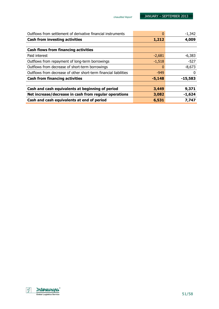| Outflows from settlement of derivative financial instruments     |          | $-1,342$  |
|------------------------------------------------------------------|----------|-----------|
| <b>Cash from investing activities</b>                            | 1,212    | 4,009     |
|                                                                  |          |           |
| <b>Cash flows from financing activities</b>                      |          |           |
| Paid interest                                                    | $-2,681$ | $-6,383$  |
| Outflows from repayment of long-term borrowings                  | $-1,518$ | $-527$    |
| Outflows from decrease of short-term borrowings                  |          | $-8,673$  |
| Outflows from decrease of other short-term financial liabilities | $-949$   | 0         |
| <b>Cash from financing activities</b>                            | $-5,148$ | $-15,583$ |
|                                                                  |          |           |
| Cash and cash equivalents at beginning of period                 | 3,449    | 9,371     |
| Net increase/decrease in cash from regular operations            | 3,082    | $-1,624$  |
| Cash and cash equivalents at end of period                       | 6,531    | 7,747     |

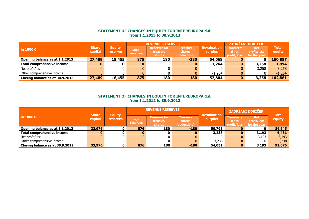## STATEMENT OF CHANGES IN EQUITY FOR INTEREUROPA d.d. from 1.1.2013 to 30.9.2013

|                                   |                         |                                  |                   | <b>REVENUE RESERVES</b>                          |                                                  |                                      | ZADRŽANI DOBIČEK                          |                                           |                        |
|-----------------------------------|-------------------------|----------------------------------|-------------------|--------------------------------------------------|--------------------------------------------------|--------------------------------------|-------------------------------------------|-------------------------------------------|------------------------|
| in 1000 $\epsilon$                | <b>Share</b><br>capital | <b>Equity</b><br><b>reserves</b> | Legal<br>reserves | <b>Reserves for</b><br>treasury<br><b>shares</b> | <b>Treasury</b><br><b>shares</b><br>(deductible) | <b>Revaluation</b><br><b>surplus</b> | <b>Transferre</b><br>d net<br>profit/loss | <b>Net</b><br>profit/loss<br>for the year | <b>Total</b><br>equity |
| Opening balance as at 1.1.2013    | 27,489                  | 18,455                           | 875               | 180                                              | $-180$                                           | 54,068                               |                                           | 0                                         | 100,887                |
| <b>Total comprehensive income</b> |                         |                                  | O                 |                                                  |                                                  | $-1,264$                             | 0                                         | 3,258                                     | 1,994                  |
| Net profit/loss                   |                         |                                  |                   |                                                  |                                                  | 0                                    |                                           | 3,258                                     | 3,258                  |
| Other comprehensive income        |                         |                                  |                   |                                                  |                                                  | $-1,264$                             |                                           |                                           | $-1,264$               |
| Closing balance as at 30.9.2013   | 27,489                  | 18,455                           | 875               | 180                                              | $-180$                                           | 52,804                               | $\bf{0}$                                  | 3,258                                     | 102,881                |

## STATEMENT OF CHANGES IN EQUITY FOR INTEREUROPA d.d. from 1.1.2012 to 30.9.2012

|                                   | <b>Share</b> | <b>Equity</b>   |                                 | <b>REVENUE RESERVES</b>                          |                                           | <b>Revaluation</b> | ZADRŽANI DOBIČEK                          |                                           | <b>Total</b> |
|-----------------------------------|--------------|-----------------|---------------------------------|--------------------------------------------------|-------------------------------------------|--------------------|-------------------------------------------|-------------------------------------------|--------------|
| in 1000 $\epsilon$                | capital      | <b>reserves</b> | <b>Legal</b><br><b>reserves</b> | <b>Reserves for</b><br>treasury<br><b>shares</b> | Treasury<br><b>shares</b><br>(deductible) | <b>surplus</b>     | <b>Transferre</b><br>d net<br>profit/loss | <b>Net</b><br>profit/loss<br>for the year | equity       |
| Opening balance as at 1.1.2012    | 32,976       |                 | 876                             | 180                                              | $-180$                                    | 50,793             |                                           | 0                                         | 84,645       |
| <b>Total comprehensive income</b> | 0            |                 | 0                               |                                                  |                                           | 3,238              | $\bf{0}$                                  | 3,193                                     | 6,431        |
| Net profit/loss                   |              |                 | 0                               |                                                  |                                           | 0                  |                                           | 3,193                                     | 3,193        |
| Other comprehensive income        |              |                 | $\mathbf{0}$                    |                                                  |                                           | 3,238              |                                           | 0                                         | 3,238        |
| Closing balance as at 30.9.2012   | 32,976       |                 | 876                             | 180                                              | $-180$                                    | 54,031             | $\bf{0}$                                  | 3,193                                     | 91,076       |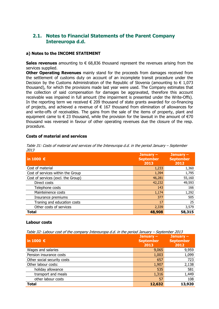### 2.1. Notes to Financial Statements of the Parent Company Intereuropa d.d.

### a) Notes to the INCOME STATEMENT

Sales revenues amounting to  $\epsilon$  68,836 thousand represent the revenues arising from the services supplied.

**Other Operating Revenues** mainly stand for the proceeds from damages received from the settlement of customs duty on account of an incomplete transit procedure under the Decision by the Customs Administration of the Republic of Slovenia (amounting to  $\epsilon$  1,073 thousand), for which the provisions made last year were used. The Company estimates that the collection of said compensation for damages be aggravated, therefore this account receivable was impaired in full amount (the impairment is presented under the Write-Offs). In the reporting term we received  $\epsilon$  209 thousand of state grants awarded for co-financing of projects, and achieved a revenue of  $\epsilon$  167 thousand from elimination of allowances for and write-offs of receivables. The gains from the sale of the items of property, plant and equipment came to  $\epsilon$  23 thousand, while the provision for the lawsuit in the amount of  $\epsilon$ 70 thousand was reversed in favour of other operating revenues due the closure of the resp. procedure.

### Costs of material and services

| ---<br>in 1000 $\epsilon$          | January $-$<br><b>September</b><br>2013 | January $-$<br><b>September</b><br>2012 |
|------------------------------------|-----------------------------------------|-----------------------------------------|
| Cost of material                   | 1,233                                   | 1,360                                   |
| Cost of services within the Group  | 1,394                                   | 1,795                                   |
| Cost of services (excl. the Group) | 46,281                                  | 55,160                                  |
| Direct costs                       | 42,232                                  | 49,593                                  |
| Telephone costs                    | 143                                     | 166                                     |
| Mainteinence costs                 | 1,174                                   | 1,292                                   |
| Insurance premiums                 | 377                                     | 505                                     |
| Traning and education costs        | 17                                      | 25                                      |
| Other costs of services            | 2,339                                   | 3,579                                   |
| <b>Total</b>                       | 48,908                                  | 58,315                                  |

Table 31: Costs of material and services of the Intereuropa d.d. in the period January – September 2013

### Labour costs

Table 32: Labour cost of the company Intereuropa d.d. in the period January – September 2013

| in 1000 $\epsilon$          | January $-$<br><b>September</b><br>2013 | January $-$<br><b>September</b><br>2012 |
|-----------------------------|-----------------------------------------|-----------------------------------------|
| Wages and salaries          | 9,065                                   | 9,959                                   |
| Pension insurance costs     | 1,003                                   | 1,099                                   |
| Other social security costs | 657                                     | 723                                     |
| Other labour costs:         | 1,907                                   | 2,138                                   |
| holiday allowance           | 535                                     | 581                                     |
| transport and meals         | 1,316                                   | 1,449                                   |
| other labour costs          | 57                                      | 108                                     |
| <b>Total</b>                | 12,632                                  | 13,920                                  |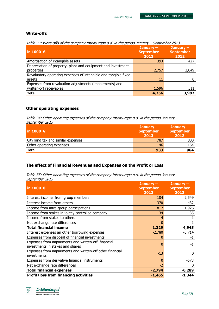### Write-offs

Table 33: Write-offs of the company Intereuropa d.d. in the period January – September 2013

| in 1000 $\epsilon$                                                                 | January $-$<br><b>September</b><br>2013 | January $-$<br><b>September</b><br>2012 |
|------------------------------------------------------------------------------------|-----------------------------------------|-----------------------------------------|
| Amortisation of intangible assets                                                  | 393                                     | 427                                     |
| Depreciation of property, plant and equipment and investment<br>properties         | 2,757                                   | 3,049                                   |
| Revaluatory operating expenses of intangible and tangible fixed<br>assets          | 11                                      |                                         |
| Expenses from revaluation adjustments (impairments) and<br>written-off receivables | 1,596                                   | 511                                     |
| <b>Total</b>                                                                       | 4,756                                   | 3,987                                   |

### Other operating expenses

Table 34: Other operating expenses of the company Intereuropa d.d. in the period January – September 2013

| $ $ in 1000 €                      | January $-$<br><b>September</b><br>2013 | January $-$<br><b>September</b><br>2012 |
|------------------------------------|-----------------------------------------|-----------------------------------------|
| City land tax and similar expenses | 787                                     | 800                                     |
| Other operating expenses           | 146                                     | 164                                     |
| Total                              | 933                                     | 964                                     |

### The effect of Financial Revenues and Expenses on the Profit or Loss

Table 35: Other operating expenses of the company Intereuropa d.d. in the period January – September 2013

| in 1000 $\epsilon$                                                                      | January $-$<br><b>September</b><br>2013 | January -<br><b>September</b><br>2012 |
|-----------------------------------------------------------------------------------------|-----------------------------------------|---------------------------------------|
| Interest income from group members                                                      | 104                                     | 2,549                                 |
| Interest income from others                                                             | 370                                     | 432                                   |
| Income from intra-group participations                                                  | 817                                     | 1,926                                 |
| Income from stakes in jointly controlled company                                        | 34                                      | 35                                    |
| Income from stakes to others                                                            | 4                                       |                                       |
| Net exchange rate differences                                                           | 0                                       |                                       |
| <b>Total financial income</b>                                                           | 1,329                                   | 4,945                                 |
| Interest expenses an other borrowing expenses                                           | $-2,780$                                | $-5,714$                              |
| Expenses from disposal of financial investments                                         | 0                                       | $-1$                                  |
| Expenses from impairments and written-off financial<br>investments in stakes and shares | 0                                       | -1                                    |
| Expenses from impairments and written-off other financial<br>investments                | $-13$                                   | 0                                     |
| Expenses from derivative financial instruments                                          | $\mathbf{0}$                            | $-573$                                |
| Net exchange rate differences                                                           | $-2$                                    | O                                     |
| <b>Total financial expenses</b>                                                         | $-2,794$                                | $-6,289$                              |
| <b>Profit/loss from financing activities</b>                                            | -1,465                                  | $-1,344$                              |

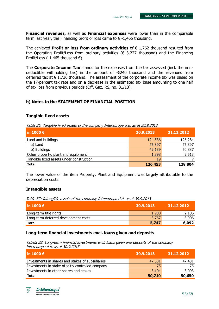Financial revenues, as well as Financial expenses were lower than in the comparable term last year, the Financing profit or loss came to  $\epsilon$  -1,465 thousand.

The achieved **Profit or loss from ordinary activities** of  $\epsilon$  1.762 thousand resulted from the Operating Profit/Loss from ordinary activities ( $\epsilon$  3,227 thousand) and the Financing Profit/Loss (-1,465 thousand  $\epsilon$ ).

The **Corporate Income Tax** stands for the expenses from the tax assessed (incl. the nondeductible withholding tax) in the amount of  $-\epsilon$ 240 thousand and the revenues from deferred tax at  $\epsilon$  1,736 thousand. The assessment of the corporate income tax was based on the 17-percent tax rate and on a decrease in the estimated tax base amounting to one half of tax loss from previous periods (Off. Gaz. RS, no. 81/13).

### b) Notes to the STATEMENT OF FINANCIAL POSITION

### Tangible fixed assets

Table 36: Tangible fixed assets of the company Intereuropa d.d. as at 30.9.2013

| $\ln 1000 \in$                           | 30.9.2013 | 31.12.2012 |
|------------------------------------------|-----------|------------|
| Land and buildings                       | 124,536   | 126,284    |
| a) Land                                  | 75,397    | 75,397     |
| b) Buildings                             | 49,139    | 50,887     |
| Other property, plant and equipment      | 1,898     | 2,513      |
| Tangible fixed assets under construction | 19        |            |
| <b>Total</b>                             | 126,453   | 128,804    |

The lower value of the item Property, Plant and Equipment was largely attributable to the depreciation costs.

### Intangible assets

Table 37: Intangible assets of the company Intereuropa d.d. as at 30.9.2013

| l in 1000 €                          | 30.9.2013 | 31.12.2012 |
|--------------------------------------|-----------|------------|
| Long-term title rights               | 1,980     | 2,186      |
| Long-term deferred development costs | 3,767     | 3,906      |
| <b>Total</b>                         | 5,747     | 6,092      |

### Long-term financial investments excl. loans given and deposits

Tabela 38: Long-term financial investments excl. loans given and deposits of the company Intereuropa d.d. as at 30.9.2013

| l in 1000 $\boldsymbol{\epsilon}$                 | 30.9.2013 | 31.12.2012 |
|---------------------------------------------------|-----------|------------|
| Investments in shares and stakes of subsidiaries  | 47,531    | 47,481     |
| Investments in stake of joitly controlled company | 75        | 75         |
| Investments in other shares and stakes            | 3,104     | 3,093      |
| <b>Total</b>                                      | 50,710    | 50,650     |

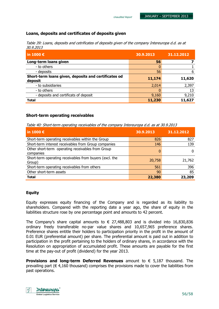### Loans, deposits and certificates of deposits given

| Table 39: Loans, deposits and cetrificates of deposits given of the company Intereuropa d.d. as at |  |
|----------------------------------------------------------------------------------------------------|--|
| <i>30.9.2013</i>                                                                                   |  |

Unaudited Report

| in 1000 €                                                       | 30.9.2013 | 31.12.2012 |
|-----------------------------------------------------------------|-----------|------------|
| Long-term loans given                                           | 56        |            |
| - to others                                                     |           |            |
| - deposits                                                      | 56        | 6          |
| Short-term loans given, deposits and certificates od<br>deposit | 11,174    | 11,620     |
| - to subsidiaries                                               | 2,014     | 2,397      |
| - to others                                                     |           | 13         |
| - deposits and certificats of deposit                           | 9,160     | 9,210      |
| <b>Total</b>                                                    | 11,230    | 11,627     |

### Short-term operating receivables

Table 40: Short-term operating receivables of the company Intereuropa d.d. as at 30.9.2013

| in 1000 $\epsilon$                                                | 30.9.2013 | 31.12.2012 |
|-------------------------------------------------------------------|-----------|------------|
| Short-term operating receivables within the Group                 | 826       | 827        |
| Short-term interest receivables from Group companies              | 146       | 139        |
| Other short-term operating receivables from Group<br>companies    | 0         | 0          |
| Short-term operating receivables from buyers (excl. the<br>Group) | 20,758    | 21,762     |
| Short-term operating receivables from others                      | 561       | 396        |
| Other short-term assets                                           | 90        | 85         |
| <b>Total</b>                                                      | 22,380    | 23,209     |

### **Equity**

Equity expresses equity financing of the Company and is regarded as its liability to shareholders. Compared with the reporting date a year ago, the share of equity in the liabilities structure rose by one percentage point and amounts to 42 percent.

The Company's share capital amounts to  $\epsilon$  27,488,803 and is divided into 16,830,836 ordinary freely transferable no-par value shares and 10,657,965 preference shares. Preference shares entitle their holders to participation priority in the profit in the amount of 0.01 EUR (preferential amount) per share. The preferential amount is paid out in addition to participation in the profit pertaining to the holders of ordinary shares, in accordance with the Resolution on appropriation of accumulated profit. These amounts are payable for the first time at the pay-out of profit (dividend) for the year 2013.

**Provisions and long-term Deferred Revenues** amount to  $\epsilon$  5,187 thousand. The prevailing part ( $\epsilon$  4,160 thousand) comprises the provisions made to cover the liabilities from past operations.

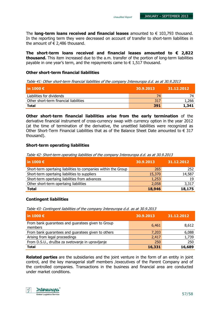The **long-term loans received and financial leases** amounted to  $\epsilon$  103,793 thousand. In the reporting term they were decreased on account of transfer to short-term liabilities in the amount of  $\epsilon$  2,486 thousand.

The short-term loans received and financial leases amounted to  $\epsilon$  2,822 thousand. This item increased due to the a.m. transfer of the portion of long-term liabilities payable in one year's term, and the repayments came to  $\epsilon$  1,517 thousand.

### Other short-term financial liabilities

Table 41: Other short-term financial liabilities of the company Intereuropa d.d. as at 30.9.2013

| l in 1000 €                            | 30.9.2013 | 31.12.2012 |
|----------------------------------------|-----------|------------|
| Liabilities for dividends              | 74        |            |
| Other short-term financial liabilities | 317       | 1,266      |
| <b>Total</b>                           | 391       | 1,341      |

Other short-term financial liabilities arise from the early termination of the derivative financial instrument of cross-currency swap with currency option in the year 2012 (at the time of termination of the derivative, the unsettled liabilities were recognized as Other Short-Term Financial Liabilities that as of the Balance Sheet Date amounted to  $\epsilon$  317 thousand).

### Short-term operating liabilities

Table 42: Short-term operating liabilities of the company Intereuropa d.d. as at 30.9.2013

| in 1000 $\epsilon$                                             | 30.9.2013 | 31.12.2012 |
|----------------------------------------------------------------|-----------|------------|
| Short-term opertaing liabilities to companies within the Group | 265       | 252        |
| Short-term opertaing liabilities to suppliers                  | 15,370    | 14,587     |
| Short-term opertaing liabilities from advances                 | 1,253     | 19         |
| Other short-term opertaing liabilities                         | 2,058     | 3,317      |
| <b>Total</b>                                                   | 18,946    | 18,175     |

### Contingent liabilities

Table 43: Contingent liabilities of the company Intereuropa d.d. as at 30.9.2013

| $\vert$ in 1000 $\epsilon$                                   | 30.9.2013 | 31.12.2012 |
|--------------------------------------------------------------|-----------|------------|
| From bank guarantees and guaratees given to Group<br>members | 6,461     | 8,612      |
| From bank guarantees and guaratees given to others           | 7,203     | 6,088      |
| Arising from legal proceedings                               | 2,417     | 1,739      |
| From D.S.U., družba za svetovanje in upravljanje             | 250       | 250        |
| <b>Total</b>                                                 | 16,331    | 16,689     |

**Related parties** are the subsidiaries and the joint venture in the form of an entity in joint control, and the key managerial staff members /executives of the Parent Company and of the controlled companies. Transactions in the business and financial area are conducted under market conditions.